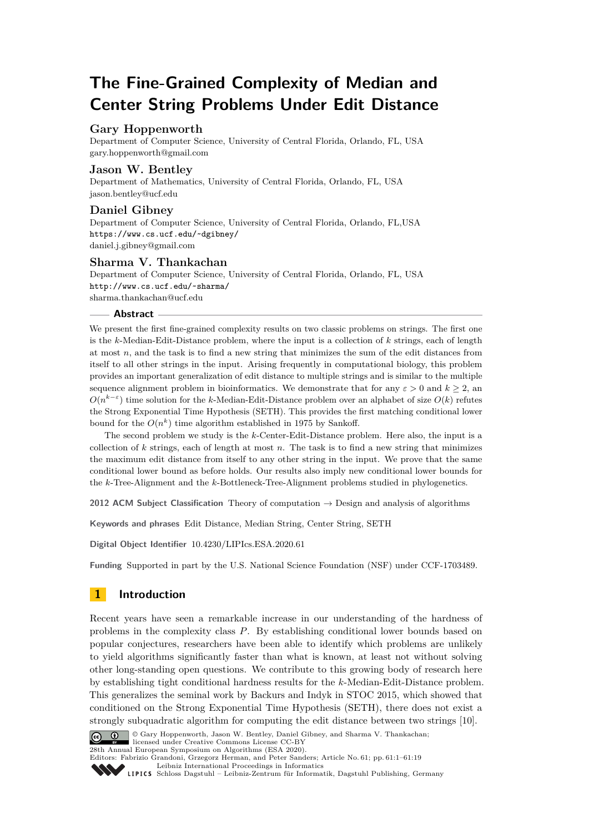# **The Fine-Grained Complexity of Median and Center String Problems Under Edit Distance**

## **Gary Hoppenworth**

Department of Computer Science, University of Central Florida, Orlando, FL, USA [gary.hoppenworth@gmail.com](mailto:gary.hoppenworth@gmail.com)

## **Jason W. Bentley**

Department of Mathematics, University of Central Florida, Orlando, FL, USA [jason.bentley@ucf.edu](mailto:jason.bentley@ucf.edu)

## **Daniel Gibney**

Department of Computer Science, University of Central Florida, Orlando, FL,USA <https://www.cs.ucf.edu/~dgibney/> [daniel.j.gibney@gmail.com](mailto:daniel.j.gibney@gmail.com)

## **Sharma V. Thankachan**

Department of Computer Science, University of Central Florida, Orlando, FL, USA <http://www.cs.ucf.edu/~sharma/> [sharma.thankachan@ucf.edu](mailto:sharma.thankachan@ucf.edu)

## **Abstract**

We present the first fine-grained complexity results on two classic problems on strings. The first one is the *k*-Median-Edit-Distance problem, where the input is a collection of *k* strings, each of length at most *n*, and the task is to find a new string that minimizes the sum of the edit distances from itself to all other strings in the input. Arising frequently in computational biology, this problem provides an important generalization of edit distance to multiple strings and is similar to the multiple sequence alignment problem in bioinformatics. We demonstrate that for any  $\varepsilon > 0$  and  $k > 2$ , and  $O(n^{k-\varepsilon})$  time solution for the *k*-Median-Edit-Distance problem over an alphabet of size  $O(k)$  refutes the Strong Exponential Time Hypothesis (SETH). This provides the first matching conditional lower bound for the  $O(n^k)$  time algorithm established in 1975 by Sankoff.

The second problem we study is the *k*-Center-Edit-Distance problem. Here also, the input is a collection of *k* strings, each of length at most *n*. The task is to find a new string that minimizes the maximum edit distance from itself to any other string in the input. We prove that the same conditional lower bound as before holds. Our results also imply new conditional lower bounds for the *k*-Tree-Alignment and the *k*-Bottleneck-Tree-Alignment problems studied in phylogenetics.

**2012 ACM Subject Classification** Theory of computation → Design and analysis of algorithms

**Keywords and phrases** Edit Distance, Median String, Center String, SETH

**Digital Object Identifier** [10.4230/LIPIcs.ESA.2020.61](https://doi.org/10.4230/LIPIcs.ESA.2020.61)

**Funding** Supported in part by the U.S. National Science Foundation (NSF) under CCF-1703489.

# **1 Introduction**

Recent years have seen a remarkable increase in our understanding of the hardness of problems in the complexity class *P*. By establishing conditional lower bounds based on popular conjectures, researchers have been able to identify which problems are unlikely to yield algorithms significantly faster than what is known, at least not without solving other long-standing open questions. We contribute to this growing body of research here by establishing tight conditional hardness results for the *k*-Median-Edit-Distance problem. This generalizes the seminal work by Backurs and Indyk in STOC 2015, which showed that conditioned on the Strong Exponential Time Hypothesis (SETH), there does not exist a strongly subquadratic algorithm for computing the edit distance between two strings [\[10\]](#page-16-0).



© Gary Hoppenworth, Jason W. Bentley, Daniel Gibney, and Sharma V. Thankachan; licensed under Creative Commons License CC-BY 28th Annual European Symposium on Algorithms (ESA 2020).

Editors: Fabrizio Grandoni, Grzegorz Herman, and Peter Sanders; Article No. 61; pp. 61:1–61[:19](#page-18-0) [Leibniz International Proceedings in Informatics](https://www.dagstuhl.de/lipics/)

Leibniz International Froceedings in miormatics<br>
LIPICS [Schloss Dagstuhl – Leibniz-Zentrum für Informatik, Dagstuhl Publishing, Germany](https://www.dagstuhl.de)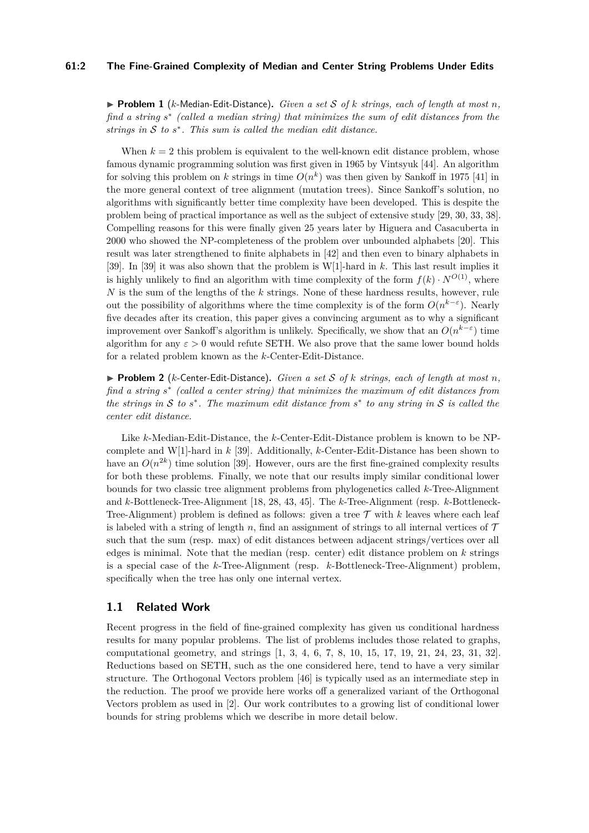#### **61:2 The Fine-Grained Complexity of Median and Center String Problems Under Edits**

 $\blacktriangleright$  **Problem 1** (*k*-Median-Edit-Distance). *Given a set* S of *k strings, each of length at most n.* find a string  $s^*$  (called a median string) that minimizes the sum of edit distances from the *strings in*  $S$  *to*  $s^*$ *. This sum is called the median edit distance.* 

When  $k = 2$  this problem is equivalent to the well-known edit distance problem, whose famous dynamic programming solution was first given in 1965 by Vintsyuk [\[44\]](#page-18-1). An algorithm for solving this problem on *k* strings in time  $O(n^k)$  was then given by Sankoff in 1975 [\[41\]](#page-18-2) in the more general context of tree alignment (mutation trees). Since Sankoff's solution, no algorithms with significantly better time complexity have been developed. This is despite the problem being of practical importance as well as the subject of extensive study [\[29,](#page-17-0) [30,](#page-17-1) [33,](#page-17-2) [38\]](#page-18-3). Compelling reasons for this were finally given 25 years later by Higuera and Casacuberta in 2000 who showed the NP-completeness of the problem over unbounded alphabets [\[20\]](#page-16-1). This result was later strengthened to finite alphabets in [\[42\]](#page-18-4) and then even to binary alphabets in [\[39\]](#page-18-5). In [\[39\]](#page-18-5) it was also shown that the problem is W[1]-hard in *k*. This last result implies it is highly unlikely to find an algorithm with time complexity of the form  $f(k) \cdot N^{O(1)}$ , where *N* is the sum of the lengths of the *k* strings. None of these hardness results, however, rule out the possibility of algorithms where the time complexity is of the form  $O(n^{k-\varepsilon})$ . Nearly five decades after its creation, this paper gives a convincing argument as to why a significant improvement over Sankoff's algorithm is unlikely. Specifically, we show that an  $O(n^{k-\varepsilon})$  time algorithm for any  $\varepsilon > 0$  would refute SETH. We also prove that the same lower bound holds for a related problem known as the *k*-Center-Edit-Distance.

 $\triangleright$  **Problem 2** (*k*-Center-Edit-Distance). *Given a set* S of *k strings, each of length at most n*, *find a string s* ∗ *(called a center string) that minimizes the maximum of edit distances from the strings in*  $S$  *to*  $s^*$ . The maximum edit distance from  $s^*$  to any string in  $S$  is called the *center edit distance.*

Like *k*-Median-Edit-Distance, the *k*-Center-Edit-Distance problem is known to be NPcomplete and W[1]-hard in *k* [\[39\]](#page-18-5). Additionally, *k*-Center-Edit-Distance has been shown to have an  $O(n^{2k})$  time solution [\[39\]](#page-18-5). However, ours are the first fine-grained complexity results for both these problems. Finally, we note that our results imply similar conditional lower bounds for two classic tree alignment problems from phylogenetics called *k*-Tree-Alignment and *k*-Bottleneck-Tree-Alignment [\[18,](#page-16-2) [28,](#page-17-3) [43,](#page-18-6) [45\]](#page-18-7). The *k*-Tree-Alignment (resp. *k*-Bottleneck-Tree-Alignment) problem is defined as follows: given a tree  $\mathcal T$  with  $k$  leaves where each leaf is labeled with a string of length *n*, find an assignment of strings to all internal vertices of  $\mathcal T$ such that the sum (resp. max) of edit distances between adjacent strings/vertices over all edges is minimal. Note that the median (resp. center) edit distance problem on *k* strings is a special case of the *k*-Tree-Alignment (resp. *k*-Bottleneck-Tree-Alignment) problem, specifically when the tree has only one internal vertex.

## **1.1 Related Work**

Recent progress in the field of fine-grained complexity has given us conditional hardness results for many popular problems. The list of problems includes those related to graphs, computational geometry, and strings [\[1,](#page-15-0) [3,](#page-15-1) [4,](#page-15-2) [6,](#page-15-3) [7,](#page-15-4) [8,](#page-16-3) [10,](#page-16-0) [15,](#page-16-4) [17,](#page-16-5) [19,](#page-16-6) [21,](#page-16-7) [24,](#page-17-4) [23,](#page-17-5) [31,](#page-17-6) [32\]](#page-17-7). Reductions based on SETH, such as the one considered here, tend to have a very similar structure. The Orthogonal Vectors problem [\[46\]](#page-18-8) is typically used as an intermediate step in the reduction. The proof we provide here works off a generalized variant of the Orthogonal Vectors problem as used in [\[2\]](#page-15-5). Our work contributes to a growing list of conditional lower bounds for string problems which we describe in more detail below.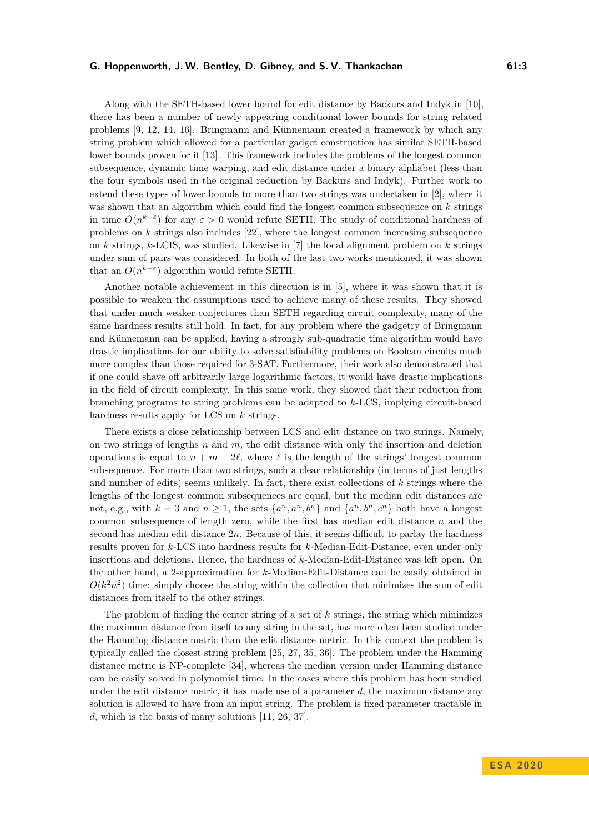Along with the SETH-based lower bound for edit distance by Backurs and Indyk in [\[10\]](#page-16-0), there has been a number of newly appearing conditional lower bounds for string related problems [\[9,](#page-16-8) [12,](#page-16-9) [14,](#page-16-10) [16\]](#page-16-11). Bringmann and Künnemann created a framework by which any string problem which allowed for a particular gadget construction has similar SETH-based lower bounds proven for it [\[13\]](#page-16-12). This framework includes the problems of the longest common subsequence, dynamic time warping, and edit distance under a binary alphabet (less than the four symbols used in the original reduction by Backurs and Indyk). Further work to extend these types of lower bounds to more than two strings was undertaken in [\[2\]](#page-15-5), where it was shown that an algorithm which could find the longest common subsequence on *k* strings in time  $O(n^{k-\epsilon})$  for any  $\varepsilon > 0$  would refute SETH. The study of conditional hardness of problems on *k* strings also includes [\[22\]](#page-16-13), where the longest common increasing subsequence on *k* strings, *k*-LCIS, was studied. Likewise in [\[7\]](#page-15-4) the local alignment problem on *k* strings under sum of pairs was considered. In both of the last two works mentioned, it was shown that an  $O(n^{k-\varepsilon})$  algorithm would refute SETH.

Another notable achievement in this direction is in [\[5\]](#page-15-6), where it was shown that it is possible to weaken the assumptions used to achieve many of these results. They showed that under much weaker conjectures than SETH regarding circuit complexity, many of the same hardness results still hold. In fact, for any problem where the gadgetry of Bringmann and Künnemann can be applied, having a strongly sub-quadratic time algorithm would have drastic implications for our ability to solve satisfiability problems on Boolean circuits much more complex than those required for 3-SAT. Furthermore, their work also demonstrated that if one could shave off arbitrarily large logarithmic factors, it would have drastic implications in the field of circuit complexity. In this same work, they showed that their reduction from branching programs to string problems can be adapted to *k*-LCS, implying circuit-based hardness results apply for LCS on *k* strings.

There exists a close relationship between LCS and edit distance on two strings. Namely, on two strings of lengths *n* and *m*, the edit distance with only the insertion and deletion operations is equal to  $n + m - 2\ell$ , where  $\ell$  is the length of the strings' longest common subsequence. For more than two strings, such a clear relationship (in terms of just lengths and number of edits) seems unlikely. In fact, there exist collections of *k* strings where the lengths of the longest common subsequences are equal, but the median edit distances are not, e.g., with  $k = 3$  and  $n \ge 1$ , the sets  $\{a^n, a^n, b^n\}$  and  $\{a^n, b^n, c^n\}$  both have a longest common subsequence of length zero, while the first has median edit distance *n* and the second has median edit distance 2*n*. Because of this, it seems difficult to parlay the hardness results proven for *k*-LCS into hardness results for *k*-Median-Edit-Distance, even under only insertions and deletions. Hence, the hardness of *k*-Median-Edit-Distance was left open. On the other hand, a 2-approximation for *k*-Median-Edit-Distance can be easily obtained in  $O(k<sup>2</sup>n<sup>2</sup>)$  time: simply choose the string within the collection that minimizes the sum of edit distances from itself to the other strings.

The problem of finding the center string of a set of *k* strings, the string which minimizes the maximum distance from itself to any string in the set, has more often been studied under the Hamming distance metric than the edit distance metric. In this context the problem is typically called the closest string problem [\[25,](#page-17-8) [27,](#page-17-9) [35,](#page-17-10) [36\]](#page-17-11). The problem under the Hamming distance metric is NP-complete [\[34\]](#page-17-12), whereas the median version under Hamming distance can be easily solved in polynomial time. In the cases where this problem has been studied under the edit distance metric, it has made use of a parameter *d*, the maximum distance any solution is allowed to have from an input string. The problem is fixed parameter tractable in *d*, which is the basis of many solutions [\[11,](#page-16-14) [26,](#page-17-13) [37\]](#page-17-14).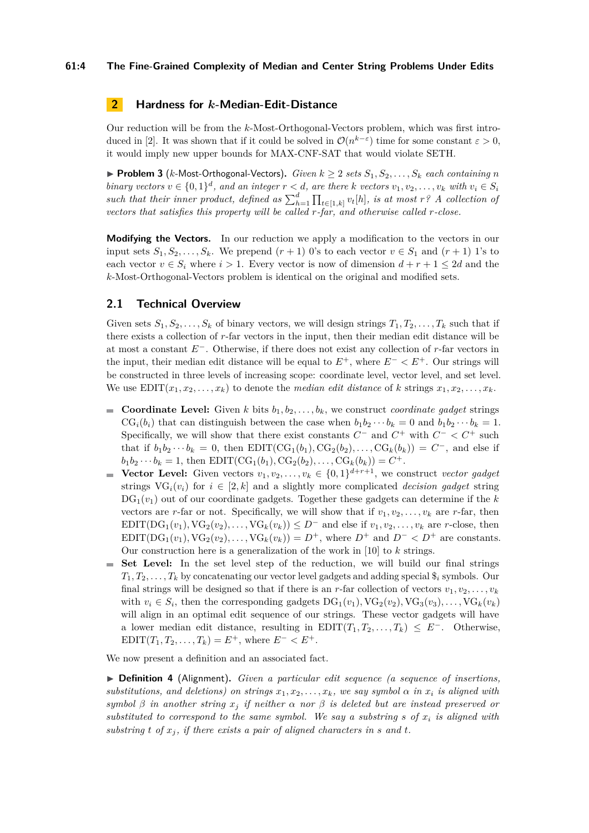## **61:4 The Fine-Grained Complexity of Median and Center String Problems Under Edits**

# **2 Hardness for** *k***-Median-Edit-Distance**

Our reduction will be from the *k*-Most-Orthogonal-Vectors problem, which was first intro-duced in [\[2\]](#page-15-5). It was shown that if it could be solved in  $\mathcal{O}(n^{k-\varepsilon})$  time for some constant  $\varepsilon > 0$ , it would imply new upper bounds for MAX-CNF-SAT that would violate SETH.

▶ **Problem 3** (*k*-Most-Orthogonal-Vectors). *Given*  $k \geq 2$  *sets*  $S_1, S_2, \ldots, S_k$  *each containing n* binary vectors  $v \in \{0,1\}^d$ , and an integer  $r < d$ , are there k vectors  $v_1, v_2, \ldots, v_k$  with  $v_i \in S_i$ *such that their inner product, defined as*  $\sum_{h=1}^{d} \prod_{t \in [1,k]} v_t[h]$ *, is at most r*<sup>*?*</sup> *A collection of vectors that satisfies this property will be called r-far, and otherwise called r-close.*

**Modifying the Vectors.** In our reduction we apply a modification to the vectors in our input sets  $S_1, S_2, \ldots, S_k$ . We prepend  $(r + 1)$  0's to each vector  $v \in S_1$  and  $(r + 1)$  1's to each vector  $v \in S_i$  where  $i > 1$ . Every vector is now of dimension  $d + r + 1 \leq 2d$  and the *k*-Most-Orthogonal-Vectors problem is identical on the original and modified sets.

## **2.1 Technical Overview**

Given sets  $S_1, S_2, \ldots, S_k$  of binary vectors, we will design strings  $T_1, T_2, \ldots, T_k$  such that if there exists a collection of *r*-far vectors in the input, then their median edit distance will be at most a constant *E*<sup>−</sup>. Otherwise, if there does not exist any collection of *r*-far vectors in the input, their median edit distance will be equal to  $E^+$ , where  $E^- < E^+$ . Our strings will be constructed in three levels of increasing scope: coordinate level, vector level, and set level. We use  $EDIT(x_1, x_2, \ldots, x_k)$  to denote the *median edit distance* of *k* strings  $x_1, x_2, \ldots, x_k$ .

- **Coordinate Level:** Given *k* bits  $b_1, b_2, \ldots, b_k$ , we construct *coordinate gadget* strings  $CG<sub>i</sub>(b<sub>i</sub>)$  that can distinguish between the case when  $b_1b_2 \cdots b_k = 0$  and  $b_1b_2 \cdots b_k = 1$ . Specifically, we will show that there exist constants  $C^-$  and  $C^+$  with  $C^- < C^+$  such that if  $b_1b_2 \cdots b_k = 0$ , then EDIT( $CG_1(b_1), CG_2(b_2), \ldots, CG_k(b_k)) = C^-$ , and else if  $b_1b_2 \cdots b_k = 1$ , then EDIT(CG<sub>1</sub>(*b*<sub>1</sub>)*,* CG<sub>2</sub>(*b*<sub>2</sub>)*,* . . . , CG<sub>*k*</sub>(*b<sub>k</sub>*)) = *C*<sup>+</sup>.
- **Vector Level:** Given vectors  $v_1, v_2, \ldots, v_k \in \{0, 1\}^{d+r+1}$ , we construct *vector gadget* strings  $VG_i(v_i)$  for  $i \in [2, k]$  and a slightly more complicated *decision gadget* string  $DG_1(v_1)$  out of our coordinate gadgets. Together these gadgets can determine if the k vectors are *r*-far or not. Specifically, we will show that if  $v_1, v_2, \ldots, v_k$  are *r*-far, then EDIT(DG<sub>1</sub>( $v_1$ ), VG<sub>2</sub>( $v_2$ ), ..., VG<sub>k</sub>( $v_k$ )) ≤ *D*<sup>-</sup> and else if  $v_1, v_2, \ldots, v_k$  are *r*-close, then EDIT(DG<sub>1</sub>( $v_1$ )*,* VG<sub>2</sub>( $v_2$ )*,...,* VG<sub>k</sub>( $v_k$ )) =  $D^+$ *,* where  $D^+$  and  $D^- < D^+$  are constants. Our construction here is a generalization of the work in [\[10\]](#page-16-0) to *k* strings.
- **Set Level:** In the set level step of the reduction, we will build our final strings  $T_1, T_2, \ldots, T_k$  by concatenating our vector level gadgets and adding special  $\hat{s}_i$  symbols. Our final strings will be designed so that if there is an *r*-far collection of vectors  $v_1, v_2, \ldots, v_k$ with  $v_i \in S_i$ , then the corresponding gadgets  $DG_1(v_1)$ ,  $VG_2(v_2)$ ,  $VG_3(v_3)$ , ...,  $VG_k(v_k)$ will align in an optimal edit sequence of our strings. These vector gadgets will have a lower median edit distance, resulting in  $EDIT(T_1, T_2, \ldots, T_k) \leq E^-$ . Otherwise, EDIT $(T_1, T_2, \ldots, T_k) = E^+$ , where  $E^- < E^+$ .

We now present a definition and an associated fact.

I **Definition 4** (Alignment)**.** *Given a particular edit sequence (a sequence of insertions, substitutions, and deletions) on strings*  $x_1, x_2, \ldots, x_k$ *, we say symbol*  $\alpha$  *in*  $x_i$  *is aligned with symbol β in another string x<sup>j</sup> if neither α nor β is deleted but are instead preserved or substituted to correspond to the same symbol. We say a substring s of x<sup>i</sup> is aligned with* substring  $t$  of  $x_j$ , if there exists a pair of aligned characters in  $s$  and  $t$ .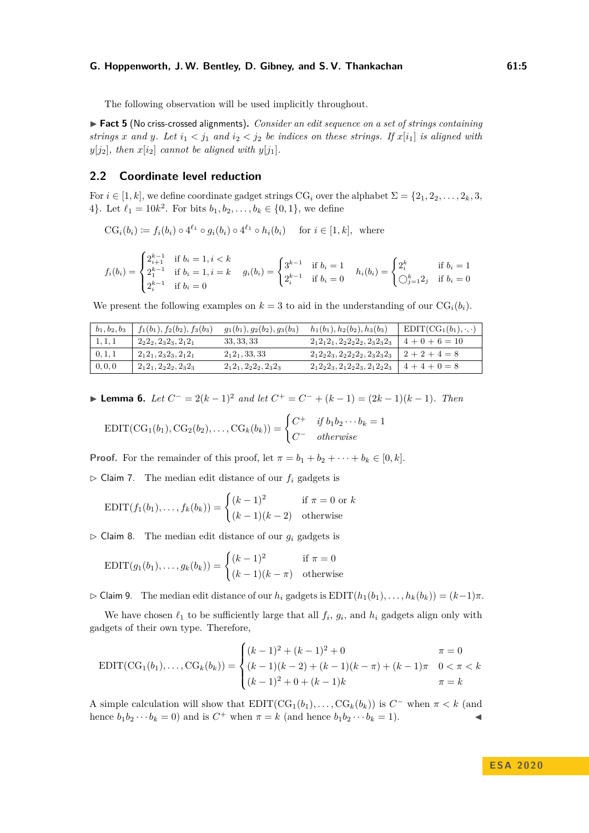The following observation will be used implicitly throughout.

▶ Fact 5 (No criss-crossed alignments). *Consider an edit sequence on a set of strings containing strings x* and *y*. Let  $i_1 < j_1$  and  $i_2 < j_2$  be indices on these strings. If  $x[i_1]$  is aligned with  $y[j_2]$ *, then*  $x[i_2]$  *cannot be aligned with*  $y[j_1]$ *.* 

## **2.2 Coordinate level reduction**

For  $i \in [1, k]$ , we define coordinate gadget strings CG<sub>i</sub> over the alphabet  $\Sigma = \{2_1, 2_2, \ldots, 2_k, 3,$ 4}. Let  $\ell_1 = 10k^2$ . For bits  $b_1, b_2, \ldots, b_k \in \{0, 1\}$ , we define

$$
CGi(bi) := fi(bi) \circ 4^{\ell_1} \circ gi(bi) \circ 4^{\ell_1} \circ hi(bi) \text{ for } i \in [1, k], \text{ where}
$$

$$
f_i(b_i) = \begin{cases} 2_{i+1}^{k-1} & \text{if } b_i = 1, i < k \\ 2_1^{k-1} & \text{if } b_i = 1, i = k \\ 2_i^{k-1} & \text{if } b_i = 0 \end{cases} \quad g_i(b_i) = \begin{cases} 3^{k-1} & \text{if } b_i = 1 \\ 2_i^{k-1} & \text{if } b_i = 0 \end{cases} \quad h_i(b_i) = \begin{cases} 2_i^k & \text{if } b_i = 1 \\ \bigcirc_{j=1}^k 2_j & \text{if } b_i = 0 \end{cases}
$$

We present the following examples on  $k = 3$  to aid in the understanding of our  $CG<sub>i</sub>(b<sub>i</sub>)$ .

| $b_1, b_2, b_3$ | $f_1(b_1), f_2(b_2), f_3(b_3)$ | $g_1(b_1), g_2(b_2), g_3(b_3)$ | $h_1(b_1), h_2(b_2), h_3(b_3)$          | $EDIT(CG_1(b_1), \cdot, \cdot)$ |
|-----------------|--------------------------------|--------------------------------|-----------------------------------------|---------------------------------|
| 1, 1, 1         | $2_22_2, 2_32_3, 2_12_1$       | 33, 33, 33                     | $2_12_12_1$ , $2_22_22_2$ , $2_32_32_3$ | $4+0+6=10$                      |
| 0, 1, 1         | $2_12_1, 2_32_3, 2_12_1$       | $2_12_1, 33, 33$               | $2_12_22_3$ , $2_22_22_2$ , $2_32_32_3$ | $2+2+4=8$                       |
| 0, 0, 0         | $2_12_1, 2_22_2, 2_32_3$       | $2_12_1, 2_22_2, 2_32_3$       | $2_12_22_3$ , $2_12_22_3$ , $2_12_22_3$ | $4+4+0=8$                       |

<span id="page-4-0"></span>► **Lemma 6.** *Let*  $C^- = 2(k-1)^2$  *and let*  $C^+ = C^- + (k-1) = (2k-1)(k-1)$ *. Then* 

$$
EDIT(CG_1(b_1), CG_2(b_2), \ldots, CG_k(b_k)) = \begin{cases} C^+ & \text{if } b_1b_2\cdots b_k = 1 \\ C^- & \text{otherwise} \end{cases}
$$

**Proof.** For the remainder of this proof, let  $\pi = b_1 + b_2 + \cdots + b_k \in [0, k]$ .

 $\triangleright$  Claim 7. The median edit distance of our  $f_i$  gadgets is

$$
EDIT(f_1(b_1),...,f_k(b_k)) = \begin{cases} (k-1)^2 & \text{if } \pi = 0 \text{ or } k\\ (k-1)(k-2) & \text{otherwise} \end{cases}
$$

 $\triangleright$  Claim 8. The median edit distance of our  $g_i$  gadgets is

$$
EDIT(g_1(b_1),...,g_k(b_k)) = \begin{cases} (k-1)^2 & \text{if } \pi = 0\\ (k-1)(k-\pi) & \text{otherwise} \end{cases}
$$

 $\triangleright$  Claim 9. The median edit distance of our  $h_i$  gadgets is  $EDIT(h_1(b_1), \ldots, h_k(b_k)) = (k-1)\pi$ .

We have chosen  $\ell_1$  to be sufficiently large that all  $f_i$ ,  $g_i$ , and  $h_i$  gadgets align only with gadgets of their own type. Therefore,

$$
EDIT(CG_1(b_1),...,CG_k(b_k)) = \begin{cases} (k-1)^2 + (k-1)^2 + 0 & \pi = 0\\ (k-1)(k-2) + (k-1)(k-\pi) + (k-1)\pi & 0 < \pi < k\\ (k-1)^2 + 0 + (k-1)k & \pi = k \end{cases}
$$

A simple calculation will show that  $EDIT(CG_1(b_1), \ldots, CG_k(b_k))$  is  $C^-$  when  $\pi < k$  (and hence  $b_1b_2\cdots b_k=0$  and is  $C^+$  when  $\pi = k$  (and hence  $b_1b_2\cdots b_k=1$ ).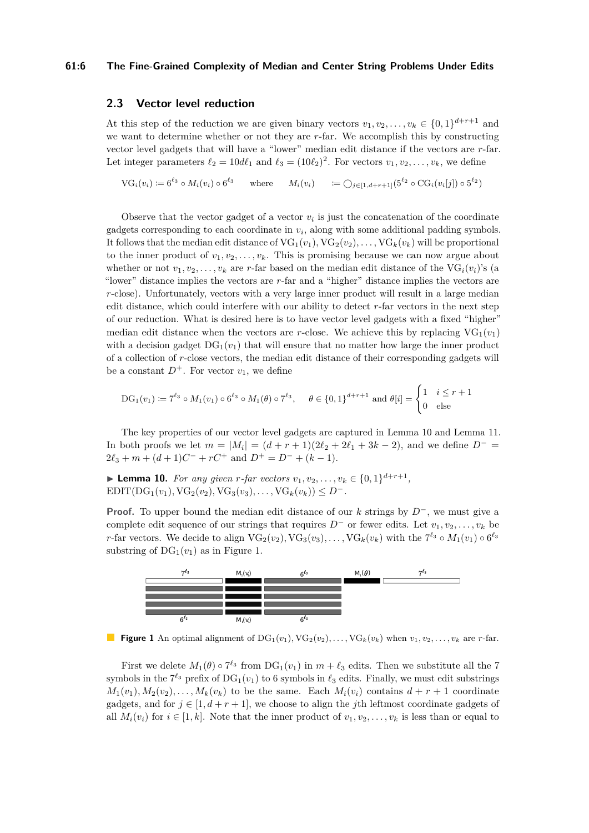#### **61:6 The Fine-Grained Complexity of Median and Center String Problems Under Edits**

## **2.3 Vector level reduction**

At this step of the reduction we are given binary vectors  $v_1, v_2, \ldots, v_k \in \{0, 1\}^{d+r+1}$  and we want to determine whether or not they are *r*-far. We accomplish this by constructing vector level gadgets that will have a "lower" median edit distance if the vectors are *r*-far. Let integer parameters  $\ell_2 = 10d\ell_1$  and  $\ell_3 = (10\ell_2)^2$ . For vectors  $v_1, v_2, \ldots, v_k$ , we define

 $VG_i(v_i) := 6^{\ell_3} \circ M_i(v_i) \circ 6^{\ell_3}$  $\iota^{2}$  where  $M_i(v_i) = \bigcirc_{j \in [1, d+r+1]} (5^{\ell_2} \circ \text{CG}_i(v_i[j]) \circ 5^{\ell_2})$ 

Observe that the vector gadget of a vector  $v_i$  is just the concatenation of the coordinate gadgets corresponding to each coordinate in  $v_i$ , along with some additional padding symbols. It follows that the median edit distance of  $VG_1(v_1)$ ,  $VG_2(v_2)$ , ...,  $VG_k(v_k)$  will be proportional to the inner product of  $v_1, v_2, \ldots, v_k$ . This is promising because we can now argue about whether or not  $v_1, v_2, \ldots, v_k$  are *r*-far based on the median edit distance of the VG<sub>*i*</sub>( $v_i$ )'s (a "lower" distance implies the vectors are *r*-far and a "higher" distance implies the vectors are *r*-close). Unfortunately, vectors with a very large inner product will result in a large median edit distance, which could interfere with our ability to detect *r*-far vectors in the next step of our reduction. What is desired here is to have vector level gadgets with a fixed "higher" median edit distance when the vectors are *r*-close. We achieve this by replacing  $VG_1(v_1)$ with a decision gadget  $DG_1(v_1)$  that will ensure that no matter how large the inner product of a collection of *r*-close vectors, the median edit distance of their corresponding gadgets will be a constant  $D^+$ . For vector  $v_1$ , we define

$$
\mathrm{DG}_1(v_1) := 7^{\ell_3} \circ M_1(v_1) \circ 6^{\ell_3} \circ M_1(\theta) \circ 7^{\ell_3}, \quad \theta \in \{0,1\}^{d+r+1} \text{ and } \theta[i] = \begin{cases} 1 & i \leq r+1 \\ 0 & \text{else} \end{cases}
$$

The key properties of our vector level gadgets are captured in Lemma [10](#page-5-0) and Lemma [11.](#page-6-0) In both proofs we let  $m = |M_i| = (d + r + 1)(2\ell_2 + 2\ell_1 + 3k - 2)$ , and we define  $D^ 2\ell_3 + m + (d+1)C^- + rC^+$  and  $D^+ = D^- + (k-1)$ .

<span id="page-5-0"></span>▶ **Lemma 10.** *For any given r-far vectors*  $v_1, v_2, ..., v_k \in \{0, 1\}^{d+r+1}$ , EDIT( $DG_1(v_1)$ ,  $VG_2(v_2)$ ,  $VG_3(v_3)$ , . . . ,  $VG_k(v_k)$ ) ≤ *D*<sup>-</sup>.

**Proof.** To upper bound the median edit distance of our *k* strings by *D*<sup>−</sup>, we must give a complete edit sequence of our strings that requires  $D^{-}$  or fewer edits. Let  $v_1, v_2, \ldots, v_k$  be *r*-far vectors. We decide to align  $VG_2(v_2)$ ,  $VG_3(v_3)$ , ...,  $VG_k(v_k)$  with the  $7^{\ell_3} \circ M_1(v_1) \circ 6^{\ell_3}$ substring of  $DG_1(v_1)$  as in Figure [1.](#page-5-1)

<span id="page-5-1"></span>

**Figure 1** An optimal alignment of  $DG_1(v_1)$ ,  $VG_2(v_2)$ , ...,  $VG_k(v_k)$  when  $v_1, v_2, \ldots, v_k$  are *r*-far.

First we delete  $M_1(\theta) \circ 7^{\ell_3}$  from  $DG_1(v_1)$  in  $m+\ell_3$  edits. Then we substitute all the 7 symbols in the  $7^{\ell_3}$  prefix of  $DG_1(v_1)$  to 6 symbols in  $\ell_3$  edits. Finally, we must edit substrings  $M_1(v_1), M_2(v_2), \ldots, M_k(v_k)$  to be the same. Each  $M_i(v_i)$  contains  $d + r + 1$  coordinate gadgets, and for  $j \in [1, d + r + 1]$ , we choose to align the *j*th leftmost coordinate gadgets of all  $M_i(v_i)$  for  $i \in [1, k]$ . Note that the inner product of  $v_1, v_2, \ldots, v_k$  is less than or equal to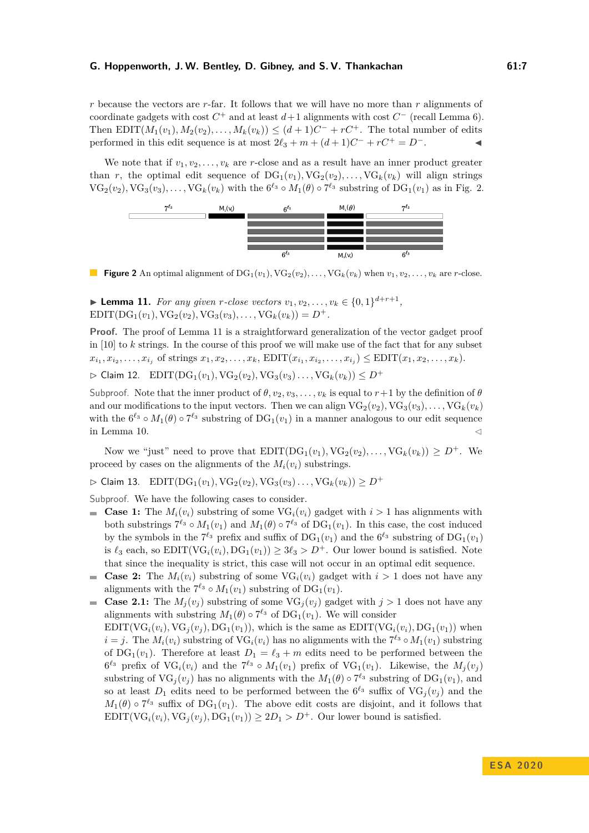*r* because the vectors are *r*-far. It follows that we will have no more than *r* alignments of coordinate gadgets with cost  $C^+$  and at least  $d+1$  alignments with cost  $C^-$  (recall Lemma [6\)](#page-4-0). Then  $EDIT(M_1(v_1), M_2(v_2), \ldots, M_k(v_k)) \leq (d+1)C^- + rC^+$ . The total number of edits performed in this edit sequence is at most  $2\ell_3 + m + (d+1)C^- + rC^+ = D^-$ . <br>●

We note that if  $v_1, v_2, \ldots, v_k$  are *r*-close and as a result have an inner product greater than *r*, the optimal edit sequence of  $DG_1(v_1), NG_2(v_2), \ldots, VG_k(v_k)$  will align strings  $VG_2(v_2), VG_3(v_3),\ldots,VG_k(v_k)$  with the  $6^{\ell_3} \circ M_1(\theta) \circ 7^{\ell_3}$  substring of  $DG_1(v_1)$  as in Fig. [2.](#page-6-1)

<span id="page-6-1"></span>

**Figure 2** An optimal alignment of  $DG_1(v_1), NG_2(v_2), \ldots, VG_k(v_k)$  when  $v_1, v_2, \ldots, v_k$  are *r*-close.

<span id="page-6-0"></span>▶ **Lemma 11.** *For any given r-close vectors*  $v_1, v_2, ..., v_k \in \{0, 1\}^{d+r+1}$ ,  $E$ DIT( $DG_1(v_1)$ ,  $VG_2(v_2)$ ,  $VG_3(v_3)$ , ...,  $VG_k(v_k) = D^+$ .

**Proof.** The proof of Lemma [11](#page-6-0) is a straightforward generalization of the vector gadget proof in [\[10\]](#page-16-0) to *k* strings. In the course of this proof we will make use of the fact that for any subset  $x_{i_1}, x_{i_2}, \ldots, x_{i_j}$  of strings  $x_1, x_2, \ldots, x_k$ ,  $EDIT(x_{i_1}, x_{i_2}, \ldots, x_{i_j}) \leq EDIT(x_1, x_2, \ldots, x_k)$ .

 $\triangleright$  Claim 12. EDIT(DG<sub>1</sub>(*v*<sub>1</sub>)*,* VG<sub>2</sub>(*v*<sub>2</sub>)*,* VG<sub>3</sub>(*v*<sub>3</sub>)*...*, VG<sub>k</sub>(*v*<sub>k</sub>)) < *D*<sup>+</sup>

Subproof. Note that the inner product of  $\theta$ ,  $v_2$ ,  $v_3$ , ...,  $v_k$  is equal to  $r+1$  by the definition of  $\theta$ and our modifications to the input vectors. Then we can align  $VG_2(v_2)$ ,  $VG_3(v_3)$ , ...,  $VG_k(v_k)$ with the  $6^{\ell_3} \circ M_1(\theta) \circ 7^{\ell_3}$  substring of  $DG_1(v_1)$  in a manner analogous to our edit sequence in Lemma [10.](#page-5-0)

Now we "just" need to prove that  $EDIT(DG_1(v_1), VG_2(v_2), \ldots, VG_k(v_k)) \geq D^+$ . We proceed by cases on the alignments of the  $M_i(v_i)$  substrings.

 $\triangleright$  Claim 13. EDIT(DG<sub>1</sub>(*v*<sub>1</sub>)*,* VG<sub>2</sub>(*v*<sub>2</sub>)*,* VG<sub>3</sub>(*v*<sub>3</sub>)*...*, VG<sub>k</sub>(*v*<sub>k</sub>))  $\geq D^+$ 

Subproof. We have the following cases to consider.

- **Case 1:** The  $M_i(v_i)$  substring of some VG<sub>i</sub> $(v_i)$  gadget with  $i > 1$  has alignments with both substrings  $7^{\ell_3} \circ M_1(v_1)$  and  $M_1(\theta) \circ 7^{\ell_3}$  of DG<sub>1</sub>( $v_1$ ). In this case, the cost induced by the symbols in the  $7^{\ell_3}$  prefix and suffix of  $DG_1(v_1)$  and the  $6^{\ell_3}$  substring of  $DG_1(v_1)$ is  $\ell_3$  each, so EDIT(VG<sub>*i*</sub>( $v_i$ ), DG<sub>1</sub>( $v_1$ ))  $\geq 3\ell_3 > D^+$ . Our lower bound is satisfied. Note that since the inequality is strict, this case will not occur in an optimal edit sequence.
- **Case 2:** The  $M_i(v_i)$  substring of some  $\text{VG}_i(v_i)$  gadget with  $i > 1$  does not have any alignments with the  $7^{\ell_3} \circ M_1(v_1)$  substring of  $DG_1(v_1)$ .
- **Case 2.1:** The  $M_i(v_i)$  substring of some  $VG_i(v_i)$  gadget with  $j > 1$  does not have any alignments with substring  $M_1(\theta) \circ 7^{\ell_3}$  of  $DG_1(v_1)$ . We will consider

EDIT( $\text{VG}_i(v_i), \text{VG}_j(v_j), \text{DG}_1(v_1)$ ), which is the same as  $\text{EDIT}(\text{VG}_i(v_i), \text{DG}_1(v_1))$  when  $i = j$ . The  $M_i(v_i)$  substring of  $VG_i(v_i)$  has no alignments with the  $7^{\ell_3} \circ M_1(v_1)$  substring of  $DG_1(v_1)$ . Therefore at least  $D_1 = \ell_3 + m$  edits need to be performed between the  $6^{\ell_3}$  prefix of VG<sub>*i*</sub>(*v<sub>i</sub>*) and the  $7^{\ell_3} \circ M_1(v_1)$  prefix of VG<sub>1</sub>(*v*<sub>1</sub>). Likewise, the  $M_j(v_j)$ substring of  $VG_j(v_j)$  has no alignments with the  $M_1(\theta) \circ 7^{\ell_3}$  substring of  $DG_1(v_1)$ , and so at least  $D_1$  edits need to be performed between the  $6^{\ell_3}$  suffix of  $\text{VG}_j(v_j)$  and the  $M_1(\theta) \circ 7^{\ell_3}$  suffix of DG<sub>1</sub>(*v*<sub>1</sub>). The above edit costs are disjoint, and it follows that EDIT(VG<sub>*i*</sub>(*v<sub>i</sub>*)</sub>, VG<sub>*j*</sub>(*v<sub>j</sub>*), DG<sub>1</sub>(*v*<sub>1</sub>))  $\geq 2D_1 > D^+$ . Our lower bound is satisfied.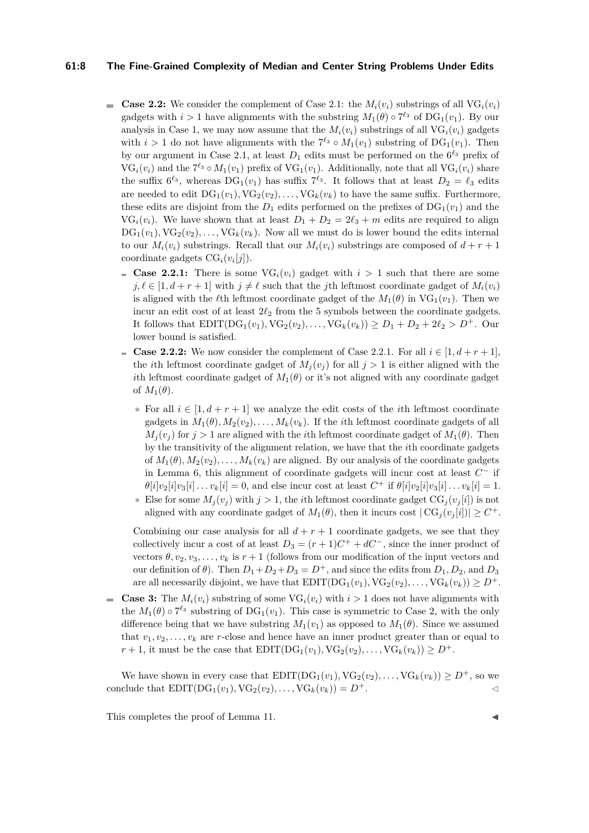## **61:8 The Fine-Grained Complexity of Median and Center String Problems Under Edits**

- Gase 2.2: We consider the complement of Case 2.1: the  $M_i(v_i)$  substrings of all  $VG_i(v_i)$ gadgets with  $i > 1$  have alignments with the substring  $M_1(\theta) \circ 7^{\ell_3}$  of  $DG_1(v_1)$ . By our analysis in Case 1, we may now assume that the  $M_i(v_i)$  substrings of all VG<sub>*i*</sub>( $v_i$ ) gadgets with  $i > 1$  do not have alignments with the  $7^{\ell_3} \circ M_1(v_1)$  substring of  $DG_1(v_1)$ . Then by our argument in Case 2.1, at least  $D_1$  edits must be performed on the  $6^{\ell_3}$  prefix of  $VG_i(v_i)$  and the  $7^{\ell_3} \circ M_1(v_1)$  prefix of  $VG_1(v_1)$ . Additionally, note that all  $VG_i(v_i)$  share the suffix  $6^{\ell_3}$ , whereas  $DG_1(v_1)$  has suffix  $7^{\ell_3}$ . It follows that at least  $D_2 = \ell_3$  edits are needed to edit  $DG_1(v_1), NG_2(v_2), \ldots, VG_k(v_k)$  to have the same suffix. Furthermore, these edits are disjoint from the  $D_1$  edits performed on the prefixes of  $DG_1(v_1)$  and the  $VG_i(v_i)$ . We have shown that at least  $D_1 + D_2 = 2\ell_3 + m$  edits are required to align  $DG_1(v_1), NG_2(v_2), \ldots, VG_k(v_k)$ . Now all we must do is lower bound the edits internal to our  $M_i(v_i)$  substrings. Recall that our  $M_i(v_i)$  substrings are composed of  $d + r + 1$ coordinate gadgets  $CG<sub>i</sub>(v<sub>i</sub>[j])$ .
	- **Case 2.2.1:** There is some  $\text{VG}_i(v_i)$  gadget with  $i > 1$  such that there are some  $j, \ell \in [1, d + r + 1]$  with  $j \neq \ell$  such that the *j*th leftmost coordinate gadget of  $M_i(v_i)$ is aligned with the  $\ell$ th leftmost coordinate gadget of the  $M_1(\theta)$  in VG<sub>1</sub>( $v_1$ ). Then we incur an edit cost of at least  $2\ell_2$  from the 5 symbols between the coordinate gadgets. It follows that  $EDIT(DG_1(v_1), VG_2(v_2),...,VG_k(v_k)) \ge D_1 + D_2 + 2\ell_2 > D^+$ . Our lower bound is satisfied.
	- **Case 2.2.2:** We now consider the complement of Case 2.2.1. For all  $i \in [1, d + r + 1]$ , the *i*th leftmost coordinate gadget of  $M_i(v_i)$  for all  $j > 1$  is either aligned with the *i*th leftmost coordinate gadget of  $M_1(\theta)$  or it's not aligned with any coordinate gadget of  $M_1(\theta)$ .
		- **∗** For all *i* ∈ [1*, d* + *r* + 1] we analyze the edit costs of the *i*th leftmost coordinate gadgets in  $M_1(\theta), M_2(v_2), \ldots, M_k(v_k)$ . If the *i*th leftmost coordinate gadgets of all  $M_i(v_i)$  for  $j > 1$  are aligned with the *i*th leftmost coordinate gadget of  $M_1(\theta)$ . Then by the transitivity of the alignment relation, we have that the *i*th coordinate gadgets of  $M_1(\theta), M_2(v_2), \ldots, M_k(v_k)$  are aligned. By our analysis of the coordinate gadgets in Lemma [6,](#page-4-0) this alignment of coordinate gadgets will incur cost at least *C* <sup>−</sup> if  $\theta[i]v_2[i]v_3[i] \dots v_k[i] = 0$ , and else incur cost at least  $C^+$  if  $\theta[i]v_2[i]v_3[i] \dots v_k[i] = 1$ .
		- **\*** Else for some  $M_i(v_i)$  with  $j > 1$ , the *i*th leftmost coordinate gadget  $CG_i(v_i[i])$  is not aligned with any coordinate gadget of  $M_1(\theta)$ , then it incurs cost  $|\text{CG}_j(v_j[i])| \geq C^+$ .

Combining our case analysis for all  $d + r + 1$  coordinate gadgets, we see that they collectively incur a cost of at least  $D_3 = (r+1)C^+ + dC^-$ , since the inner product of vectors  $\theta$ ,  $v_2$ ,  $v_3$ , ...,  $v_k$  is  $r + 1$  (follows from our modification of the input vectors and our definition of *θ*). Then  $D_1 + D_2 + D_3 = D^+$ , and since the edits from  $D_1, D_2$ , and  $D_3$ are all necessarily disjoint, we have that  $EDIT(DG_1(v_1), VG_2(v_2), \ldots, VG_k(v_k)) \geq D^+$ .

**Case 3:** The  $M_i(v_i)$  substring of some  $\text{VG}_i(v_i)$  with  $i > 1$  does not have alignments with the  $M_1(\theta) \circ 7^{\ell_3}$  substring of DG<sub>1</sub>(*v*<sub>1</sub>). This case is symmetric to Case 2, with the only difference being that we have substring  $M_1(v_1)$  as opposed to  $M_1(\theta)$ . Since we assumed that  $v_1, v_2, \ldots, v_k$  are *r*-close and hence have an inner product greater than or equal to  $r + 1$ , it must be the case that  $EDIT(DG_1(v_1), VG_2(v_2), \ldots, VG_k(v_k)) \ge D^+$ .

We have shown in every case that  $EDIT(DG_1(v_1), VG_2(v_2), \ldots, VG_k(v_k)) \ge D^+$ , so we conclude that  $EDIT(DG_1(v_1), VG_2(v_2),...,VG_k(v_k)) = D^+$ .

This completes the proof of Lemma [11.](#page-6-0)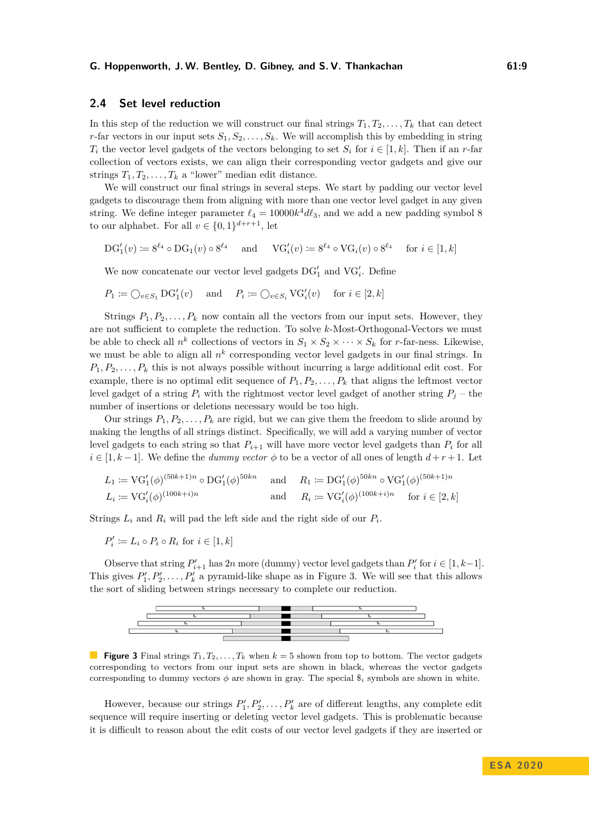## **2.4 Set level reduction**

In this step of the reduction we will construct our final strings  $T_1, T_2, \ldots, T_k$  that can detect *r*-far vectors in our input sets  $S_1, S_2, \ldots, S_k$ . We will accomplish this by embedding in string  $T_i$  the vector level gadgets of the vectors belonging to set  $S_i$  for  $i \in [1, k]$ . Then if an *r*-far collection of vectors exists, we can align their corresponding vector gadgets and give our strings  $T_1, T_2, \ldots, T_k$  a "lower" median edit distance.

We will construct our final strings in several steps. We start by padding our vector level gadgets to discourage them from aligning with more than one vector level gadget in any given string. We define integer parameter  $\ell_4 = 10000k^4 d\ell_3$ , and we add a new padding symbol 8 to our alphabet. For all  $v \in \{0, 1\}^{d+r+1}$ , let

$$
\text{DG}_1'(v) \coloneqq 8^{\ell_4} \circ \text{DG}_1(v) \circ 8^{\ell_4} \quad \text{ and } \quad \text{VG}_i'(v) \coloneqq 8^{\ell_4} \circ \text{VG}_i(v) \circ 8^{\ell_4} \quad \text{ for } i \in [1, k]
$$

We now concatenate our vector level gadgets  $DG'_1$  and  $VG'_i$ . Define

$$
P_1 \coloneqq \bigcirc_{v \in S_1} \mathrm{DG}'_1(v) \quad \text{ and } \quad P_i \coloneqq \bigcirc_{v \in S_i} \mathrm{VG}'_i(v) \quad \text{ for } i \in [2, k]
$$

Strings  $P_1, P_2, \ldots, P_k$  now contain all the vectors from our input sets. However, they are not sufficient to complete the reduction. To solve *k*-Most-Orthogonal-Vectors we must be able to check all  $n^k$  collections of vectors in  $S_1 \times S_2 \times \cdots \times S_k$  for *r*-far-ness. Likewise, we must be able to align all  $n^k$  corresponding vector level gadgets in our final strings. In  $P_1, P_2, \ldots, P_k$  this is not always possible without incurring a large additional edit cost. For example, there is no optimal edit sequence of  $P_1, P_2, \ldots, P_k$  that aligns the leftmost vector level gadget of a string  $P_i$  with the rightmost vector level gadget of another string  $P_j$  – the number of insertions or deletions necessary would be too high.

Our strings  $P_1, P_2, \ldots, P_k$  are rigid, but we can give them the freedom to slide around by making the lengths of all strings distinct. Specifically, we will add a varying number of vector level gadgets to each string so that  $P_{i+1}$  will have more vector level gadgets than  $P_i$  for all  $i \in [1, k-1]$ . We define the *dummy vector*  $\phi$  to be a vector of all ones of length  $d+r+1$ . Let

$$
L_1 := \text{VG}'_1(\phi)^{(50k+1)n} \circ \text{DG}'_1(\phi)^{50kn} \quad \text{and} \quad R_1 := \text{DG}'_1(\phi)^{50kn} \circ \text{VG}'_1(\phi)^{(50k+1)n}
$$
  
\n
$$
L_i := \text{VG}'_i(\phi)^{(100k+i)n} \quad \text{and} \quad R_i := \text{VG}'_i(\phi)^{(100k+i)n} \quad \text{for } i \in [2, k]
$$

Strings  $L_i$  and  $R_i$  will pad the left side and the right side of our  $P_i$ .

 $P'_i := L_i \circ P_i \circ R_i$  for  $i \in [1, k]$ 

Observe that string  $P'_{i+1}$  has 2*n* more (dummy) vector level gadgets than  $P'_{i}$  for  $i \in [1, k-1]$ . This gives  $P'_1, P'_2, \ldots, P'_k$  a pyramid-like shape as in Figure [3.](#page-8-0) We will see that this allows the sort of sliding between strings necessary to complete our reduction.

<span id="page-8-0"></span>

**Figure 3** Final strings  $T_1, T_2, \ldots, T_k$  when  $k = 5$  shown from top to bottom. The vector gadgets corresponding to vectors from our input sets are shown in black, whereas the vector gadgets corresponding to dummy vectors  $\phi$  are shown in gray. The special  $\hat{s}_i$  symbols are shown in white.

However, because our strings  $P'_1, P'_2, \ldots, P'_k$  are of different lengths, any complete edit sequence will require inserting or deleting vector level gadgets. This is problematic because it is difficult to reason about the edit costs of our vector level gadgets if they are inserted or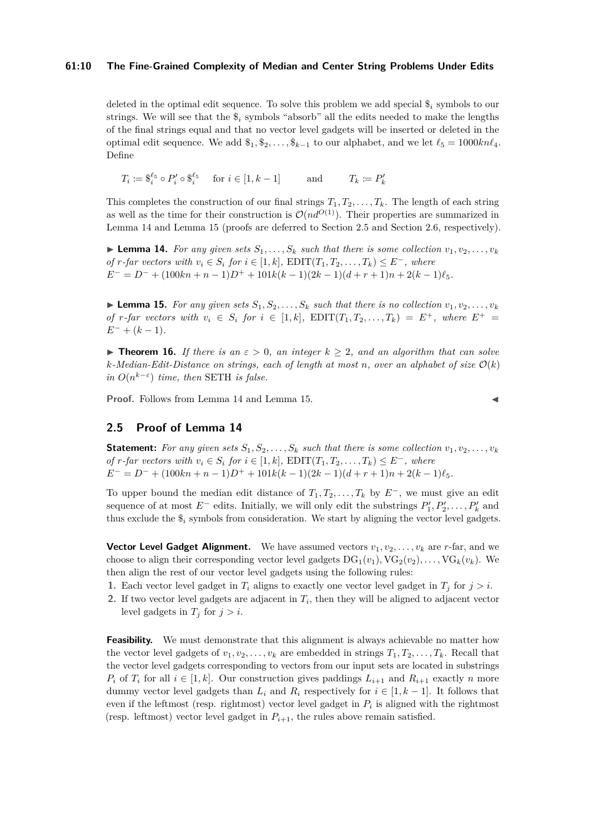## **61:10 The Fine-Grained Complexity of Median and Center String Problems Under Edits**

deleted in the optimal edit sequence. To solve this problem we add special \$*<sup>i</sup>* symbols to our strings. We will see that the  $\$_i$  symbols "absorb" all the edits needed to make the lengths of the final strings equal and that no vector level gadgets will be inserted or deleted in the optimal edit sequence. We add  $\$_1, \$_2, \ldots, \$_{k-1}$  to our alphabet, and we let  $\ell_5 = 1000 k n \ell_4$ . Define

 $T_i := \S_i^{\ell_5} \circ P'_i \circ \S_i^{\ell_5} \quad \text{ for } i \in [1, k - 1]$  and  $T_k := P'_k$ 

This completes the construction of our final strings  $T_1, T_2, \ldots, T_k$ . The length of each string as well as the time for their construction is  $\mathcal{O}(nd^{O(1)})$ . Their properties are summarized in Lemma [14](#page-9-0) and Lemma [15](#page-9-1) (proofs are deferred to Section [2.5](#page-9-2) and Section [2.6,](#page-10-0) respectively).

<span id="page-9-0"></span>**Lemma 14.** For any given sets  $S_1, \ldots, S_k$  such that there is some collection  $v_1, v_2, \ldots, v_k$ *of r*<sup>*-far vectors with*  $v_i \in S_i$  *for*  $i \in [1, k]$ *,* EDIT $(T_1, T_2, \ldots, T_k) ≤ E^-,$  where</sup>  $E^- = D^- + (100kn + n - 1)D^+ + 101k(k - 1)(2k - 1)(d + r + 1)n + 2(k - 1)\ell_5$ .

<span id="page-9-1"></span>**Example 15.** For any given sets  $S_1, S_2, \ldots, S_k$  such that there is no collection  $v_1, v_2, \ldots, v_k$ *of r*-far vectors with  $v_i \in S_i$  for  $i \in [1, k]$ ,  $EDIT(T_1, T_2, \ldots, T_k) = E^+$ , where  $E^+ =$  $E^- + (k-1)$ .

**Figurer 16.** If there is an  $\varepsilon > 0$ , an integer  $k \geq 2$ , and an algorithm that can solve  $k$ *-Median-Edit-Distance on strings, each of length at most n, over an alphabet of size*  $\mathcal{O}(k)$ *in*  $O(n^{k-\epsilon})$  *time, then* SETH *is false.* 

**Proof.** Follows from Lemma [14](#page-9-0) and Lemma [15.](#page-9-1)

## <span id="page-9-2"></span>**2.5 Proof of Lemma [14](#page-9-0)**

**Statement:** For any given sets  $S_1, S_2, \ldots, S_k$  such that there is some collection  $v_1, v_2, \ldots, v_k$ *of r*<sup>*-far vectors with*  $v_i \in S_i$  *for*  $i \in [1, k]$ *,* EDIT $(T_1, T_2, \ldots, T_k) ≤ E^-,$  where</sup>  $E^- = D^- + (100kn + n - 1)D^+ + 101k(k - 1)(2k - 1)(d + r + 1)n + 2(k - 1)\ell_5$ .

To upper bound the median edit distance of  $T_1, T_2, \ldots, T_k$  by  $E^-$ , we must give an edit sequence of at most  $E^-$  edits. Initially, we will only edit the substrings  $P'_1, P'_2, \ldots, P'_k$  and thus exclude the  $\hat{\mathbf{s}}_i$  symbols from consideration. We start by aligning the vector level gadgets.

**Vector Level Gadget Alignment.** We have assumed vectors  $v_1, v_2, \ldots, v_k$  are *r*-far, and we choose to align their corresponding vector level gadgets  $DG_1(v_1), NG_2(v_2), \ldots, NG_k(v_k)$ . We then align the rest of our vector level gadgets using the following rules:

- **1.** Each vector level gadget in  $T_i$  aligns to exactly one vector level gadget in  $T_j$  for  $j > i$ .
- **2.** If two vector level gadgets are adjacent in  $T_i$ , then they will be aligned to adjacent vector level gadgets in  $T_j$  for  $j > i$ .

**Feasibility.** We must demonstrate that this alignment is always achievable no matter how the vector level gadgets of  $v_1, v_2, \ldots, v_k$  are embedded in strings  $T_1, T_2, \ldots, T_k$ . Recall that the vector level gadgets corresponding to vectors from our input sets are located in substrings *P*<sup>*i*</sup> of *T*<sup>*i*</sup> for all  $i \in [1, k]$ . Our construction gives paddings  $L_{i+1}$  and  $R_{i+1}$  exactly *n* more dummy vector level gadgets than  $L_i$  and  $R_i$  respectively for  $i \in [1, k-1]$ . It follows that even if the leftmost (resp. rightmost) vector level gadget in *P<sup>i</sup>* is aligned with the rightmost (resp. leftmost) vector level gadget in  $P_{i+1}$ , the rules above remain satisfied.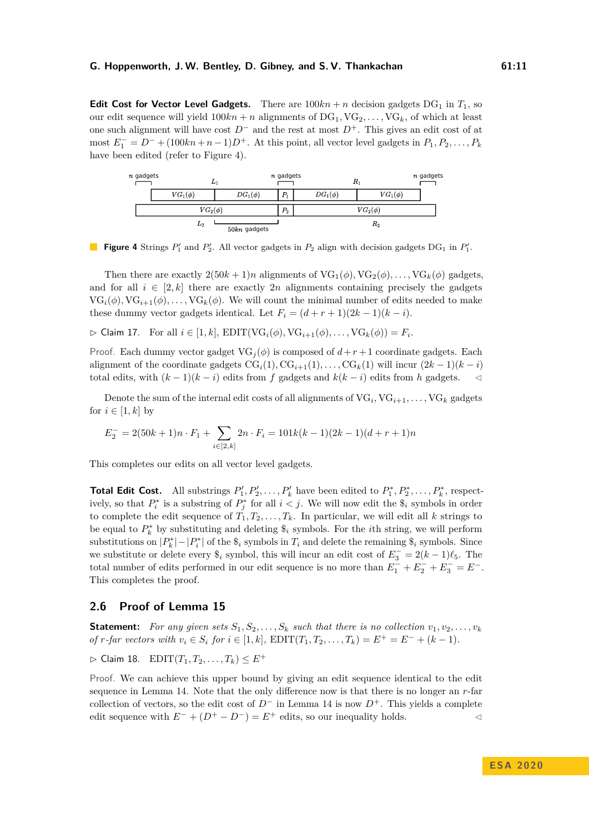**Edit Cost for Vector Level Gadgets.** There are  $100kn + n$  decision gadgets  $DG_1$  in  $T_1$ , so our edit sequence will yield  $100kn + n$  alignments of  $DG_1, VG_2, \ldots, VG_k$ , of which at least one such alignment will have cost *D*<sup>−</sup> and the rest at most *D*<sup>+</sup>. This gives an edit cost of at  $m$ ost  $E_1^- = D^- + (100kn + n - 1)D^+$ . At this point, all vector level gadgets in  $P_1, P_2, \ldots, P_k$ have been edited (refer to Figure [4\)](#page-10-1).

<span id="page-10-1"></span>

**Figure 4** Strings  $P'_1$  and  $P'_2$ . All vector gadgets in  $P_2$  align with decision gadgets  $DG_1$  in  $P'_1$ .

Then there are exactly  $2(50k+1)n$  alignments of  $VG_1(\phi)$ ,  $VG_2(\phi)$ , ...,  $VG_k(\phi)$  gadgets, and for all  $i \in [2, k]$  there are exactly 2*n* alignments containing precisely the gadgets  $VG_i(\phi)$ ,  $VG_{i+1}(\phi)$ , ...,  $VG_k(\phi)$ . We will count the minimal number of edits needed to make these dummy vector gadgets identical. Let  $F_i = (d + r + 1)(2k - 1)(k - i)$ .

<span id="page-10-3"></span> $\triangleright$  Claim 17. For all  $i \in [1, k]$ ,  $\text{EDIT}(\text{VG}_i(\phi), \text{VG}_{i+1}(\phi), \dots, \text{VG}_k(\phi)) = F_i$ .

Proof. Each dummy vector gadget  $VG_i(\phi)$  is composed of  $d+r+1$  coordinate gadgets. Each alignment of the coordinate gadgets  $CG_i(1), CG_{i+1}(1), \ldots, CG_k(1)$  will incur  $(2k-1)(k-i)$ total edits, with  $(k-1)(k-i)$  edits from *f* gadgets and  $k(k-i)$  edits from *h* gadgets. 
◯

Denote the sum of the internal edit costs of all alignments of  $\mathrm{VG}_i$ ,  $\mathrm{VG}_{i+1}, \ldots, \mathrm{VG}_k$  gadgets for  $i \in [1, k]$  by

$$
E_2^- = 2(50k + 1)n \cdot F_1 + \sum_{i \in [2,k]} 2n \cdot F_i = 101k(k-1)(2k-1)(d+r+1)n
$$

This completes our edits on all vector level gadgets.

**Total Edit Cost.** All substrings  $P'_1, P'_2, \ldots, P'_k$  have been edited to  $P_1^*, P_2^*, \ldots, P_k^*$ , respectively, so that  $P_i^*$  is a substring of  $P_j^*$  for all  $i < j$ . We will now edit the  $\hat{\mathcal{S}}_i$  symbols in order to complete the edit sequence of  $T_1, T_2, \ldots, T_k$ . In particular, we will edit all *k* strings to be equal to  $P_k^*$  by substituting and deleting  $\hat{\mathbf{s}}_i$  symbols. For the *i*th string, we will perform  $\text{substitutions on } |P_k^*| - |P_i^*| \text{ of the } \$_i$ symbols in } T_i \text{ and delete the remaining } \$_i$ symbols. Since$ we substitute or delete every  $\hat{\mathbf{s}}_i$  symbol, this will incur an edit cost of  $E_3^- = 2(k-1)\ell_5$ . The total number of edits performed in our edit sequence is no more than  $E_1^- + E_2^- + E_3^- = E^-$ . This completes the proof.

## <span id="page-10-0"></span>**2.6 Proof of Lemma [15](#page-9-1)**

**Statement:** For any given sets  $S_1, S_2, \ldots, S_k$  such that there is no collection  $v_1, v_2, \ldots, v_k$  $of$  *r*-far vectors with  $v_i \in S_i$  for  $i \in [1, k]$ ,  $EDIT(T_1, T_2, \ldots, T_k) = E^+ = E^- + (k - 1)$ .

<span id="page-10-2"></span> $\triangleright$  Claim 18. EDIT(*T*<sub>1</sub>*, T*<sub>2</sub>*, . . . , T<sub>k</sub>*) ≤ *E*<sup>+</sup>

Proof. We can achieve this upper bound by giving an edit sequence identical to the edit sequence in Lemma [14.](#page-9-0) Note that the only difference now is that there is no longer an *r*-far collection of vectors, so the edit cost of  $D^-$  in Lemma [14](#page-9-0) is now  $D^+$ . This yields a complete edit sequence with  $E^- + (D^+ - D^-) = E^+$  edits, so our inequality holds.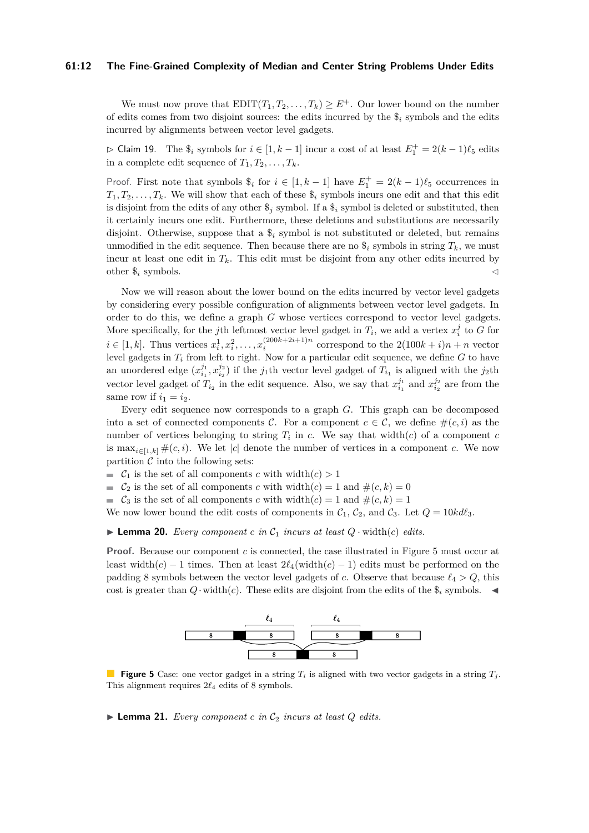#### **61:12 The Fine-Grained Complexity of Median and Center String Problems Under Edits**

We must now prove that  $EDIT(T_1, T_2, \ldots, T_k) \geq E^+$ . Our lower bound on the number of edits comes from two disjoint sources: the edits incurred by the \$*<sup>i</sup>* symbols and the edits incurred by alignments between vector level gadgets.

 $\triangleright$  Claim 19. The  $\hat{\mathfrak{s}}_i$  symbols for  $i \in [1, k-1]$  incur a cost of at least  $E_1^+ = 2(k-1)\ell_5$  edits in a complete edit sequence of  $T_1, T_2, \ldots, T_k$ .

Proof. First note that symbols  $\hat{s}_i$  for  $i \in [1, k-1]$  have  $E_1^+ = 2(k-1)\ell_5$  occurrences in  $T_1, T_2, \ldots, T_k$ . We will show that each of these  $\hat{\mathcal{F}}_i$  symbols incurs one edit and that this edit is disjoint from the edits of any other  $\hat{\mathcal{S}}_j$  symbol. If a  $\hat{\mathcal{S}}_i$  symbol is deleted or substituted, then it certainly incurs one edit. Furthermore, these deletions and substitutions are necessarily disjoint. Otherwise, suppose that a \$*<sup>i</sup>* symbol is not substituted or deleted, but remains unmodified in the edit sequence. Then because there are no  $\hat{\mathcal{S}}_i$  symbols in string  $T_k$ , we must incur at least one edit in  $T_k$ . This edit must be disjoint from any other edits incurred by other  $\hat{\mathbf{s}}_i$  symbols.

Now we will reason about the lower bound on the edits incurred by vector level gadgets by considering every possible configuration of alignments between vector level gadgets. In order to do this, we define a graph *G* whose vertices correspond to vector level gadgets. More specifically, for the *j*th leftmost vector level gadget in  $T_i$ , we add a vertex  $x_i^j$  to *G* for  $i \in [1, k]$ . Thus vertices  $x_i^1, x_i^2, ..., x_i^{(200k + 2i + 1)n}$  correspond to the  $2(100k + i)n + n$  vector level gadgets in *T<sup>i</sup>* from left to right. Now for a particular edit sequence, we define *G* to have an unordered edge  $(x_{i_1}^{j_1}, x_{i_2}^{j_2})$  if the *j*<sub>1</sub><sup>th</sup> vector level gadget of  $T_{i_1}$  is aligned with the *j*<sub>2</sub><sup>th</sup> vector level gadget of  $T_{i_2}$  in the edit sequence. Also, we say that  $x_{i_1}^{j_1}$  and  $x_{i_2}^{j_2}$  are from the same row if  $i_1 = i_2$ .

Every edit sequence now corresponds to a graph *G*. This graph can be decomposed into a set of connected components C. For a component  $c \in \mathcal{C}$ , we define  $\#(c, i)$  as the number of vertices belonging to string  $T_i$  in  $c$ . We say that width $(c)$  of a component  $c$ is  $\max_{i\in[1,k]}\#(c,i)$ . We let |*c*| denote the number of vertices in a component *c*. We now partition  $C$  into the following sets:

 $\mathcal{C}_1$  is the set of all components *c* with width $(c) > 1$ 

 $\mathcal{C}_2$  is the set of all components *c* with width(*c*) = 1 and  $\#(c, k) = 0$ 

 $\mathcal{C}_3$  is the set of all components *c* with width $(c) = 1$  and  $\#(c, k) = 1$ 

<span id="page-11-1"></span>We now lower bound the edit costs of components in  $C_1$ ,  $C_2$ , and  $C_3$ . Let  $Q = 10k d\ell_3$ .

 $\blacktriangleright$  **Lemma 20.** *Every component c* in  $\mathcal{C}_1$  incurs at least  $Q \cdot \text{width}(c)$  *edits.* 

<span id="page-11-0"></span>**Proof.** Because our component *c* is connected, the case illustrated in Figure [5](#page-11-0) must occur at least width(*c*) − 1 times. Then at least  $2\ell_4(\text{width}(c) - 1)$  edits must be performed on the padding 8 symbols between the vector level gadgets of *c*. Observe that because  $\ell_4 > Q$ , this cost is greater than  $Q \cdot \text{width}(c)$ . These edits are disjoint from the edits of the  $\hat{s}_i$  symbols.



**Figure 5** Case: one vector gadget in a string  $T_i$  is aligned with two vector gadgets in a string  $T_i$ . This alignment requires  $2\ell_4$  edits of 8 symbols.

<span id="page-11-2"></span> $\blacktriangleright$  **Lemma 21.** *Every component c in*  $C_2$  *incurs at least Q edits.*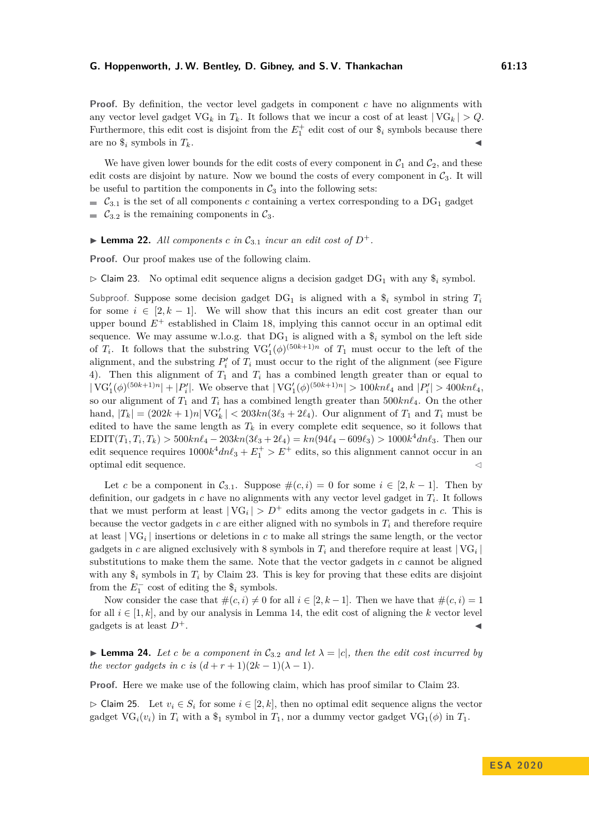**Proof.** By definition, the vector level gadgets in component *c* have no alignments with any vector level gadget  $\text{VG}_k$  in  $T_k$ . It follows that we incur a cost of at least  $|\text{VG}_k| > Q$ . Furthermore, this edit cost is disjoint from the  $E_1^+$  edit cost of our  $\$_i$  symbols because there are no  $\$_i$  symbols in  $T_k$ .

We have given lower bounds for the edit costs of every component in  $C_1$  and  $C_2$ , and these edit costs are disjoint by nature. Now we bound the costs of every component in  $C_3$ . It will be useful to partition the components in  $C_3$  into the following sets:

 $\mathcal{C}_{3,1}$  is the set of all components *c* containing a vertex corresponding to a DG<sub>1</sub> gadget  $\mathcal{C}_{3,2}$  is the remaining components in  $\mathcal{C}_3$ .

<span id="page-12-1"></span> $\blacktriangleright$  **Lemma 22.** All components c in  $C_{3.1}$  incur an edit cost of  $D^+$ .

<span id="page-12-0"></span>**Proof.** Our proof makes use of the following claim.

 $\triangleright$  Claim 23. No optimal edit sequence aligns a decision gadget DG<sub>1</sub> with any  $\hat{\mathcal{S}}_i$  symbol.

Subproof. Suppose some decision gadget  $DG_1$  is aligned with a  $\hat{\mathcal{S}}_i$  symbol in string  $T_i$ for some  $i \in [2, k-1]$ . We will show that this incurs an edit cost greater than our upper bound  $E^+$  established in Claim [18,](#page-10-2) implying this cannot occur in an optimal edit sequence. We may assume w.l.o.g. that  $DG_1$  is aligned with a  $\hat{\mathcal{S}}_i$  symbol on the left side of  $T_i$ . It follows that the substring  $\text{VG}'_1(\phi)^{(50k+1)n}$  of  $T_1$  must occur to the left of the alignment, and the substring  $P_i'$  of  $T_i$  must occur to the right of the alignment (see Figure [4\)](#page-10-1). Then this alignment of  $T_1$  and  $T_i$  has a combined length greater than or equal to  $|\text{VG}'_1(\phi)^{(50k+1)n}| + |P'_i|$ . We observe that  $|\text{VG}'_1(\phi)^{(50k+1)n}| > 100kn\ell_4$  and  $|P'_i| > 400kn\ell_4$ , so our alignment of  $T_1$  and  $T_i$  has a combined length greater than  $500kn\ell_4$ . On the other hand,  $|T_k| = (202k + 1)n| \text{VG}'_k | < 203kn(3\ell_3 + 2\ell_4)$ . Our alignment of  $T_1$  and  $T_i$  must be edited to have the same length as  $T_k$  in every complete edit sequence, so it follows that  $EDIT(T_1, T_i, T_k) > 500kn\ell_4 - 203kn(3\ell_3 + 2\ell_4) = kn(94\ell_4 - 609\ell_3) > 1000k^4 dn\ell_3$ . Then our edit sequence requires  $1000k^4dn\ell_3 + E_1^+ > E^+$  edits, so this alignment cannot occur in an  $\Box$  optimal edit sequence.  $\Box$ 

Let *c* be a component in  $C_{3,1}$ . Suppose  $\#(c, i) = 0$  for some  $i \in [2, k-1]$ . Then by definition, our gadgets in *c* have no alignments with any vector level gadget in *T<sup>i</sup>* . It follows that we must perform at least  $|VG_i| > D^+$  edits among the vector gadgets in *c*. This is because the vector gadgets in  $c$  are either aligned with no symbols in  $T_i$  and therefore require at least | VG*<sup>i</sup>* | insertions or deletions in *c* to make all strings the same length, or the vector gadgets in *c* are aligned exclusively with 8 symbols in  $T_i$  and therefore require at least  $|\text{VG}_i|$ substitutions to make them the same. Note that the vector gadgets in *c* cannot be aligned with any  $\hat{\mathbf{s}}_i$  symbols in  $T_i$  by Claim [23.](#page-12-0) This is key for proving that these edits are disjoint from the  $E_1^-$  cost of editing the  $\$_i$  symbols.

Now consider the case that  $\#(c, i) \neq 0$  for all  $i \in [2, k-1]$ . Then we have that  $\#(c, i) = 1$ for all  $i \in [1, k]$ , and by our analysis in Lemma [14,](#page-9-0) the edit cost of aligning the k vector level gadgets is at least  $D^+$ .

<span id="page-12-2"></span>**Lemma 24.** Let *c* be a component in  $C_{3,2}$  and let  $\lambda = |c|$ , then the edit cost incurred by *the vector gadgets in c is*  $(d+r+1)(2k-1)(\lambda-1)$ *.* 

**Proof.** Here we make use of the following claim, which has proof similar to Claim [23.](#page-12-0)

 $\triangleright$  Claim 25. Let  $v_i \in S_i$  for some  $i \in [2, k]$ , then no optimal edit sequence aligns the vector gadget  $VG_i(v_i)$  in  $T_i$  with a  $\$_1$  symbol in  $T_1$ , nor a dummy vector gadget  $VG_1(\phi)$  in  $T_1$ .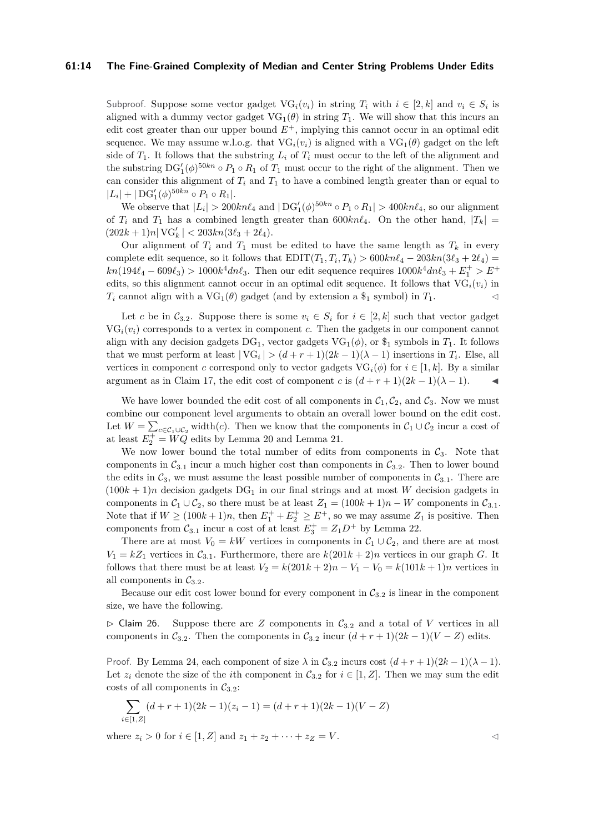## **61:14 The Fine-Grained Complexity of Median and Center String Problems Under Edits**

Subproof. Suppose some vector gadget  $\text{VG}_i(v_i)$  in string  $T_i$  with  $i \in [2, k]$  and  $v_i \in S_i$  is aligned with a dummy vector gadget  $VG_1(\theta)$  in string  $T_1$ . We will show that this incurs an edit cost greater than our upper bound  $E^+$ , implying this cannot occur in an optimal edit sequence. We may assume w.l.o.g. that  $VG_i(v_i)$  is aligned with a  $VG_1(\theta)$  gadget on the left side of  $T_1$ . It follows that the substring  $L_i$  of  $T_i$  must occur to the left of the alignment and the substring  $DG'_1(\phi)^{50kn} \circ P_1 \circ R_1$  of  $T_1$  must occur to the right of the alignment. Then we can consider this alignment of  $T_i$  and  $T_1$  to have a combined length greater than or equal to  $|L_i| + |\mathrm{DG}'_1(\phi)^{50kn} \circ P_1 \circ R_1|.$ 

We observe that  $|L_i| > 200kn\ell_4$  and  $|DG'_1(\phi)^{50kn} \circ P_1 \circ R_1| > 400kn\ell_4$ , so our alignment of  $T_i$  and  $T_1$  has a combined length greater than  $600kn\ell_4$ . On the other hand,  $|T_k|$  $(202k + 1)n| \text{VG}'_k | < 203kn(3\ell_3 + 2\ell_4).$ 

Our alignment of  $T_i$  and  $T_1$  must be edited to have the same length as  $T_k$  in every complete edit sequence, so it follows that  $EDIT(T_1, T_i, T_k) > 600kn\ell_4 - 203kn(3\ell_3 + 2\ell_4)$  $kn(194\ell_4 - 609\ell_3) > 1000k^4dn\ell_3$ . Then our edit sequence requires  $1000k^4dn\ell_3 + E_1^+ > E^+$ edits, so this alignment cannot occur in an optimal edit sequence. It follows that  $VG_i(v_i)$  in *T<sub>i</sub>* cannot align with a VG<sub>1</sub>( $\theta$ ) gadget (and by extension a  $\$_{1}$  symbol) in *T*<sub>1</sub>.

Let *c* be in  $C_{3,2}$ . Suppose there is some  $v_i \in S_i$  for  $i \in [2, k]$  such that vector gadget  $\mathrm{VG}_i(v_i)$  corresponds to a vertex in component *c*. Then the gadgets in our component cannot align with any decision gadgets  $DG_1$ , vector gadgets  $VG_1(\phi)$ , or  $\$_1$  symbols in  $T_1$ . It follows that we must perform at least  $|\text{VG}_i|$  >  $(d+r+1)(2k-1)(\lambda-1)$  insertions in  $T_i$ . Else, all vertices in component *c* correspond only to vector gadgets  $\mathrm{VG}_i(\phi)$  for  $i \in [1, k]$ . By a similar argument as in Claim [17,](#page-10-3) the edit cost of component *c* is  $(d + r + 1)(2k - 1)(\lambda - 1)$ .

We have lower bounded the edit cost of all components in  $C_1$ ,  $C_2$ , and  $C_3$ . Now we must combine our component level arguments to obtain an overall lower bound on the edit cost. Let  $W = \sum_{c \in C_1 \cup C_2} \text{width}(c)$ . Then we know that the components in  $C_1 \cup C_2$  incur a cost of at least  $E_2^+ = \widetilde{WQ}$  edits by Lemma [20](#page-11-1) and Lemma [21.](#page-11-2)

We now lower bound the total number of edits from components in  $C_3$ . Note that components in  $C_{3,1}$  incur a much higher cost than components in  $C_{3,2}$ . Then to lower bound the edits in  $C_3$ , we must assume the least possible number of components in  $C_{3,1}$ . There are  $(100k+1)n$  decision gadgets DG<sub>1</sub> in our final strings and at most *W* decision gadgets in components in  $C_1 \cup C_2$ , so there must be at least  $Z_1 = (100k + 1)n - W$  components in  $C_{3,1}$ . Note that if  $W \ge (100k + 1)n$ , then  $E_1^+ + E_2^+ \ge E^+$ , so we may assume  $Z_1$  is positive. Then components from  $C_{3,1}$  incur a cost of at least  $E_3^+ = Z_1 D^+$  by Lemma [22.](#page-12-1)

There are at most  $V_0 = kW$  vertices in components in  $C_1 \cup C_2$ , and there are at most  $V_1 = kZ_1$  vertices in  $C_{3,1}$ . Furthermore, there are  $k(201k + 2)n$  vertices in our graph *G*. It follows that there must be at least  $V_2 = k(201k + 2)n - V_1 - V_0 = k(101k + 1)n$  vertices in all components in  $\mathcal{C}_{3,2}$ .

Because our edit cost lower bound for every component in  $C_{3,2}$  is linear in the component size, we have the following.

<span id="page-13-0"></span> $\triangleright$  Claim 26. Suppose there are *Z* components in  $C_{3,2}$  and a total of *V* vertices in all components in  $C_{3,2}$ . Then the components in  $C_{3,2}$  incur  $(d + r + 1)(2k - 1)(V - Z)$  edits.

Proof. By Lemma [24,](#page-12-2) each component of size  $\lambda$  in  $C_{3,2}$  incurs cost  $(d+r+1)(2k-1)(\lambda-1)$ . Let  $z_i$  denote the size of the *i*th component in  $C_{3,2}$  for  $i \in [1, Z]$ . Then we may sum the edit costs of all components in  $C_{3,2}$ :

$$
\sum_{i \in [1, Z]} (d+r+1)(2k-1)(z_i-1) = (d+r+1)(2k-1)(V-Z)
$$

where  $z_i > 0$  for  $i \in [1, Z]$  and  $z_1 + z_2 + \cdots + z_z = V$ .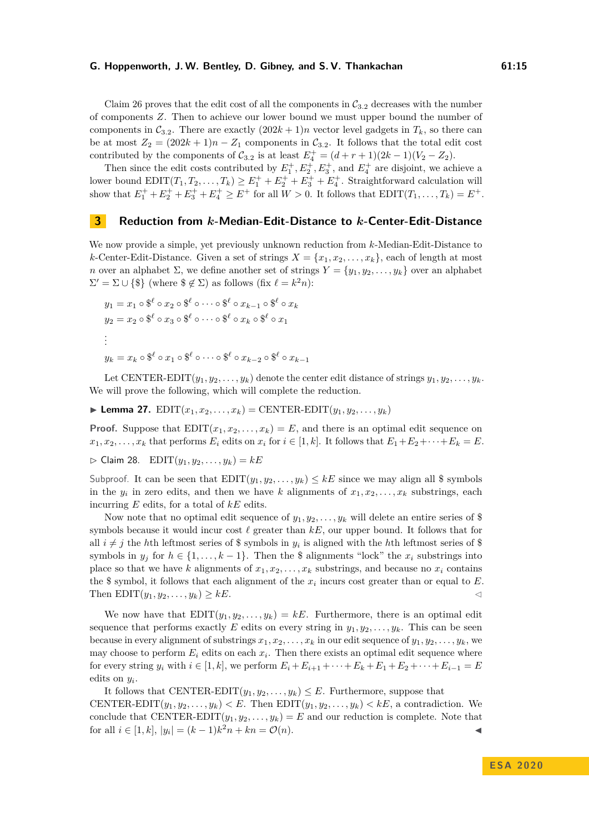Claim [26](#page-13-0) proves that the edit cost of all the components in  $C_{3,2}$  decreases with the number of components *Z*. Then to achieve our lower bound we must upper bound the number of components in  $C_{3,2}$ . There are exactly  $(202k + 1)n$  vector level gadgets in  $T_k$ , so there can be at most  $Z_2 = (202k + 1)n - Z_1$  components in  $C_{3,2}$ . It follows that the total edit cost contributed by the components of  $C_{3,2}$  is at least  $E_4^+ = (d+r+1)(2k-1)(V_2 - Z_2)$ .

Then since the edit costs contributed by  $E_1^+, E_2^+, E_3^+,$  and  $E_4^+$  are disjoint, we achieve a lower bound  $EDIT(T_1, T_2, \ldots, T_k) \ge E_1^+ + E_2^+ + E_3^+ + E_4^+$ . Straightforward calculation will show that  $E_1^+ + E_2^+ + E_3^+ + E_4^+ \ge E^+$  for all  $W > 0$ . It follows that  $EDIT(T_1, \ldots, T_k) = E^+$ .

## **3 Reduction from** *k***-Median-Edit-Distance to** *k***-Center-Edit-Distance**

We now provide a simple, yet previously unknown reduction from *k*-Median-Edit-Distance to *k*-Center-Edit-Distance. Given a set of strings  $X = \{x_1, x_2, \ldots, x_k\}$ , each of length at most *n* over an alphabet  $\Sigma$ , we define another set of strings  $Y = \{y_1, y_2, \ldots, y_k\}$  over an alphabet  $\Sigma' = \Sigma \cup \{\$\}$  (where  $\{\notin \Sigma\}$ ) as follows (fix  $\ell = k^2 n$ ):

$$
y_1 = x_1 \circ \mathcal{S}^{\ell} \circ x_2 \circ \mathcal{S}^{\ell} \circ \cdots \circ \mathcal{S}^{\ell} \circ x_{k-1} \circ \mathcal{S}^{\ell} \circ x_k
$$
  
\n
$$
y_2 = x_2 \circ \mathcal{S}^{\ell} \circ x_3 \circ \mathcal{S}^{\ell} \circ \cdots \circ \mathcal{S}^{\ell} \circ x_k \circ \mathcal{S}^{\ell} \circ x_1
$$
  
\n
$$
\vdots
$$
  
\n
$$
y_k = x_k \circ \mathcal{S}^{\ell} \circ x_1 \circ \mathcal{S}^{\ell} \circ \cdots \circ \mathcal{S}^{\ell} \circ x_{k-2} \circ \mathcal{S}^{\ell} \circ x_{k-1}
$$

Let CENTER-EDIT $(y_1, y_2, \ldots, y_k)$  denote the center edit distance of strings  $y_1, y_2, \ldots, y_k$ . We will prove the following, which will complete the reduction.

<span id="page-14-0"></span> $\blacktriangleright$  **Lemma 27.**  $EDIT(x_1, x_2, \ldots, x_k) = CENTER-EDIT(y_1, y_2, \ldots, y_k)$ 

**Proof.** Suppose that  $EDIT(x_1, x_2, \ldots, x_k) = E$ , and there is an optimal edit sequence on  $x_1, x_2, \ldots, x_k$  that performs  $E_i$  edits on  $x_i$  for  $i \in [1, k]$ . It follows that  $E_1 + E_2 + \cdots + E_k = E$ .

 $\triangleright$  Claim 28. EDIT $(y_1, y_2, \ldots, y_k) = kE$ 

Subproof. It can be seen that  $EDIT(y_1, y_2, \ldots, y_k) \leq kE$  since we may align all \$ symbols in the  $y_i$  in zero edits, and then we have *k* alignments of  $x_1, x_2, \ldots, x_k$  substrings, each incurring *E* edits, for a total of *kE* edits.

Now note that no optimal edit sequence of  $y_1, y_2, \ldots, y_k$  will delete an entire series of \$ symbols because it would incur cost  $\ell$  greater than  $kE$ , our upper bound. It follows that for all  $i \neq j$  the *h*th leftmost series of \$ symbols in  $y_i$  is aligned with the *h*th leftmost series of \$ symbols in  $y_j$  for  $h \in \{1, \ldots, k-1\}$ . Then the \$ alignments "lock" the  $x_i$  substrings into place so that we have *k* alignments of  $x_1, x_2, \ldots, x_k$  substrings, and because no  $x_i$  contains the \$ symbol, it follows that each alignment of the  $x_i$  incurs cost greater than or equal to  $E$ . Then  $EDIT(y_1, y_2, \ldots, y_k) \geq kE$ .

We now have that  $EDIT(y_1, y_2, \ldots, y_k) = kE$ . Furthermore, there is an optimal edit sequence that performs exactly *E* edits on every string in  $y_1, y_2, \ldots, y_k$ . This can be seen because in every alignment of substrings  $x_1, x_2, \ldots, x_k$  in our edit sequence of  $y_1, y_2, \ldots, y_k$ , we may choose to perform  $E_i$  edits on each  $x_i$ . Then there exists an optimal edit sequence where for every string  $y_i$  with  $i \in [1, k]$ , we perform  $E_i + E_{i+1} + \cdots + E_k + E_1 + E_2 + \cdots + E_{i-1} = E$ edits on *y<sup>i</sup>* .

# It follows that CENTER-EDIT $(y_1, y_2, \ldots, y_k) \leq E$ . Furthermore, suppose that CENTER-EDIT $(y_1, y_2, \ldots, y_k) < E$ . Then EDIT $(y_1, y_2, \ldots, y_k) < kE$ , a contradiction. We conclude that CENTER-EDIT $(y_1, y_2, \ldots, y_k) = E$  and our reduction is complete. Note that for all  $i \in [1, k]$ ,  $|y_i| = (k-1)k^2n + kn = \mathcal{O}(n)$ .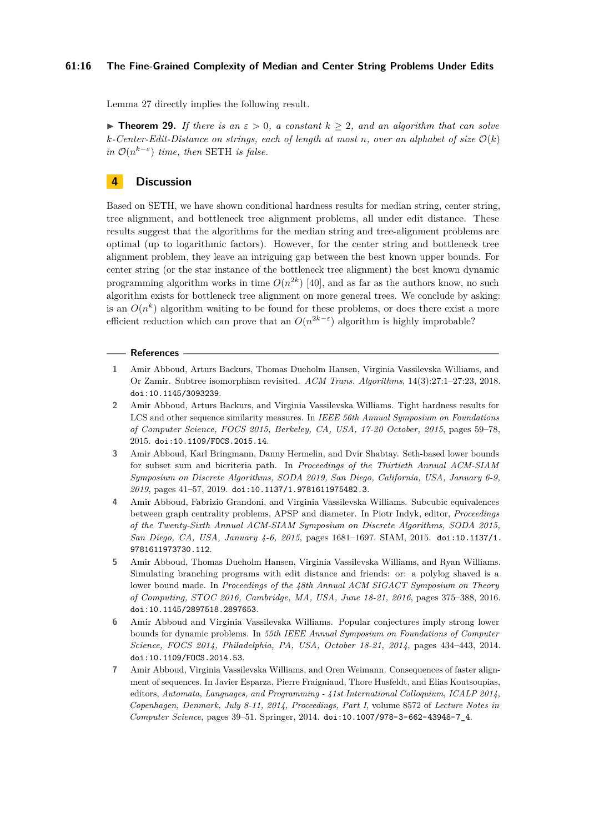## **61:16 The Fine-Grained Complexity of Median and Center String Problems Under Edits**

Lemma [27](#page-14-0) directly implies the following result.

**Figure 129.** If there is an  $\varepsilon > 0$ , a constant  $k > 2$ , and an algorithm that can solve  $k$ *-Center-Edit-Distance on strings, each of length at most n, over an alphabet of size*  $\mathcal{O}(k)$ *in*  $\mathcal{O}(n^{k-\varepsilon})$  *time, then* SETH *is false.* 

## **4 Discussion**

Based on SETH, we have shown conditional hardness results for median string, center string, tree alignment, and bottleneck tree alignment problems, all under edit distance. These results suggest that the algorithms for the median string and tree-alignment problems are optimal (up to logarithmic factors). However, for the center string and bottleneck tree alignment problem, they leave an intriguing gap between the best known upper bounds. For center string (or the star instance of the bottleneck tree alignment) the best known dynamic programming algorithm works in time  $O(n^{2k})$  [\[40\]](#page-18-9), and as far as the authors know, no such algorithm exists for bottleneck tree alignment on more general trees. We conclude by asking: is an  $O(n^k)$  algorithm waiting to be found for these problems, or does there exist a more efficient reduction which can prove that an  $O(n^{2k-\epsilon})$  algorithm is highly improbable?

#### **References**

- <span id="page-15-0"></span>**1** Amir Abboud, Arturs Backurs, Thomas Dueholm Hansen, Virginia Vassilevska Williams, and Or Zamir. Subtree isomorphism revisited. *ACM Trans. Algorithms*, 14(3):27:1–27:23, 2018. [doi:10.1145/3093239](https://doi.org/10.1145/3093239).
- <span id="page-15-5"></span>**2** Amir Abboud, Arturs Backurs, and Virginia Vassilevska Williams. Tight hardness results for LCS and other sequence similarity measures. In *IEEE 56th Annual Symposium on Foundations of Computer Science, FOCS 2015, Berkeley, CA, USA, 17-20 October, 2015*, pages 59–78, 2015. [doi:10.1109/FOCS.2015.14](https://doi.org/10.1109/FOCS.2015.14).
- <span id="page-15-1"></span>**3** Amir Abboud, Karl Bringmann, Danny Hermelin, and Dvir Shabtay. Seth-based lower bounds for subset sum and bicriteria path. In *Proceedings of the Thirtieth Annual ACM-SIAM Symposium on Discrete Algorithms, SODA 2019, San Diego, California, USA, January 6-9, 2019*, pages 41–57, 2019. [doi:10.1137/1.9781611975482.3](https://doi.org/10.1137/1.9781611975482.3).
- <span id="page-15-2"></span>**4** Amir Abboud, Fabrizio Grandoni, and Virginia Vassilevska Williams. Subcubic equivalences between graph centrality problems, APSP and diameter. In Piotr Indyk, editor, *Proceedings of the Twenty-Sixth Annual ACM-SIAM Symposium on Discrete Algorithms, SODA 2015, San Diego, CA, USA, January 4-6, 2015*, pages 1681–1697. SIAM, 2015. [doi:10.1137/1.](https://doi.org/10.1137/1.9781611973730.112) [9781611973730.112](https://doi.org/10.1137/1.9781611973730.112).
- <span id="page-15-6"></span>**5** Amir Abboud, Thomas Dueholm Hansen, Virginia Vassilevska Williams, and Ryan Williams. Simulating branching programs with edit distance and friends: or: a polylog shaved is a lower bound made. In *Proceedings of the 48th Annual ACM SIGACT Symposium on Theory of Computing, STOC 2016, Cambridge, MA, USA, June 18-21, 2016*, pages 375–388, 2016. [doi:10.1145/2897518.2897653](https://doi.org/10.1145/2897518.2897653).
- <span id="page-15-3"></span>**6** Amir Abboud and Virginia Vassilevska Williams. Popular conjectures imply strong lower bounds for dynamic problems. In *55th IEEE Annual Symposium on Foundations of Computer Science, FOCS 2014, Philadelphia, PA, USA, October 18-21, 2014*, pages 434–443, 2014. [doi:10.1109/FOCS.2014.53](https://doi.org/10.1109/FOCS.2014.53).
- <span id="page-15-4"></span>**7** Amir Abboud, Virginia Vassilevska Williams, and Oren Weimann. Consequences of faster alignment of sequences. In Javier Esparza, Pierre Fraigniaud, Thore Husfeldt, and Elias Koutsoupias, editors, *Automata, Languages, and Programming - 41st International Colloquium, ICALP 2014, Copenhagen, Denmark, July 8-11, 2014, Proceedings, Part I*, volume 8572 of *Lecture Notes in Computer Science*, pages 39–51. Springer, 2014. [doi:10.1007/978-3-662-43948-7\\_4](https://doi.org/10.1007/978-3-662-43948-7_4).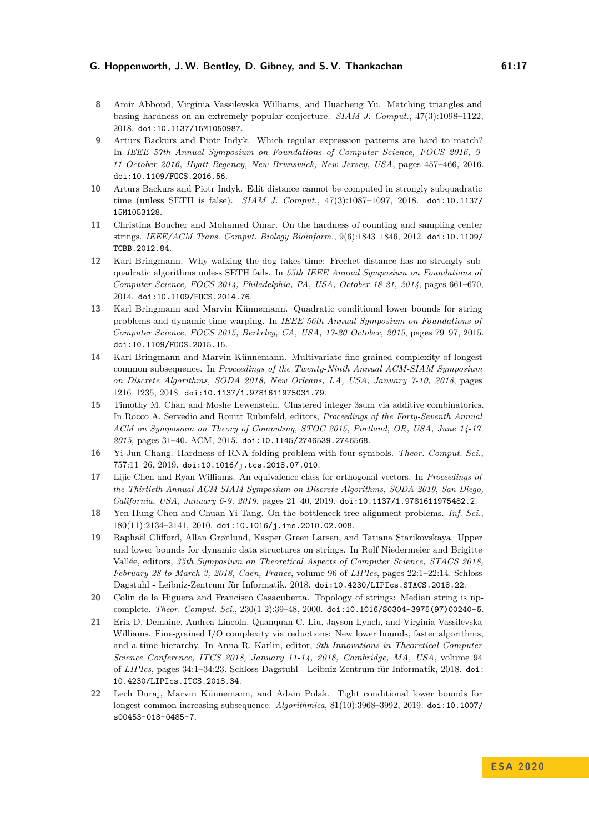- <span id="page-16-3"></span>**8** Amir Abboud, Virginia Vassilevska Williams, and Huacheng Yu. Matching triangles and basing hardness on an extremely popular conjecture. *SIAM J. Comput.*, 47(3):1098–1122, 2018. [doi:10.1137/15M1050987](https://doi.org/10.1137/15M1050987).
- <span id="page-16-8"></span>**9** Arturs Backurs and Piotr Indyk. Which regular expression patterns are hard to match? In *IEEE 57th Annual Symposium on Foundations of Computer Science, FOCS 2016, 9- 11 October 2016, Hyatt Regency, New Brunswick, New Jersey, USA*, pages 457–466, 2016. [doi:10.1109/FOCS.2016.56](https://doi.org/10.1109/FOCS.2016.56).
- <span id="page-16-0"></span>**10** Arturs Backurs and Piotr Indyk. Edit distance cannot be computed in strongly subquadratic time (unless SETH is false). *SIAM J. Comput.*, 47(3):1087–1097, 2018. [doi:10.1137/](https://doi.org/10.1137/15M1053128) [15M1053128](https://doi.org/10.1137/15M1053128).
- <span id="page-16-14"></span>**11** Christina Boucher and Mohamed Omar. On the hardness of counting and sampling center strings. *IEEE/ACM Trans. Comput. Biology Bioinform.*, 9(6):1843–1846, 2012. [doi:10.1109/](https://doi.org/10.1109/TCBB.2012.84) [TCBB.2012.84](https://doi.org/10.1109/TCBB.2012.84).
- <span id="page-16-9"></span>**12** Karl Bringmann. Why walking the dog takes time: Frechet distance has no strongly subquadratic algorithms unless SETH fails. In *55th IEEE Annual Symposium on Foundations of Computer Science, FOCS 2014, Philadelphia, PA, USA, October 18-21, 2014*, pages 661–670, 2014. [doi:10.1109/FOCS.2014.76](https://doi.org/10.1109/FOCS.2014.76).
- <span id="page-16-12"></span>**13** Karl Bringmann and Marvin Künnemann. Quadratic conditional lower bounds for string problems and dynamic time warping. In *IEEE 56th Annual Symposium on Foundations of Computer Science, FOCS 2015, Berkeley, CA, USA, 17-20 October, 2015*, pages 79–97, 2015. [doi:10.1109/FOCS.2015.15](https://doi.org/10.1109/FOCS.2015.15).
- <span id="page-16-10"></span>**14** Karl Bringmann and Marvin Künnemann. Multivariate fine-grained complexity of longest common subsequence. In *Proceedings of the Twenty-Ninth Annual ACM-SIAM Symposium on Discrete Algorithms, SODA 2018, New Orleans, LA, USA, January 7-10, 2018*, pages 1216–1235, 2018. [doi:10.1137/1.9781611975031.79](https://doi.org/10.1137/1.9781611975031.79).
- <span id="page-16-4"></span>**15** Timothy M. Chan and Moshe Lewenstein. Clustered integer 3sum via additive combinatorics. In Rocco A. Servedio and Ronitt Rubinfeld, editors, *Proceedings of the Forty-Seventh Annual ACM on Symposium on Theory of Computing, STOC 2015, Portland, OR, USA, June 14-17, 2015*, pages 31–40. ACM, 2015. [doi:10.1145/2746539.2746568](https://doi.org/10.1145/2746539.2746568).
- <span id="page-16-11"></span>**16** Yi-Jun Chang. Hardness of RNA folding problem with four symbols. *Theor. Comput. Sci.*, 757:11–26, 2019. [doi:10.1016/j.tcs.2018.07.010](https://doi.org/10.1016/j.tcs.2018.07.010).
- <span id="page-16-5"></span>**17** Lijie Chen and Ryan Williams. An equivalence class for orthogonal vectors. In *Proceedings of the Thirtieth Annual ACM-SIAM Symposium on Discrete Algorithms, SODA 2019, San Diego, California, USA, January 6-9, 2019*, pages 21–40, 2019. [doi:10.1137/1.9781611975482.2](https://doi.org/10.1137/1.9781611975482.2).
- <span id="page-16-2"></span>**18** Yen Hung Chen and Chuan Yi Tang. On the bottleneck tree alignment problems. *Inf. Sci.*, 180(11):2134–2141, 2010. [doi:10.1016/j.ins.2010.02.008](https://doi.org/10.1016/j.ins.2010.02.008).
- <span id="page-16-6"></span>**19** Raphaël Clifford, Allan Grønlund, Kasper Green Larsen, and Tatiana Starikovskaya. Upper and lower bounds for dynamic data structures on strings. In Rolf Niedermeier and Brigitte Vallée, editors, *35th Symposium on Theoretical Aspects of Computer Science, STACS 2018, February 28 to March 3, 2018, Caen, France*, volume 96 of *LIPIcs*, pages 22:1–22:14. Schloss Dagstuhl - Leibniz-Zentrum für Informatik, 2018. [doi:10.4230/LIPIcs.STACS.2018.22](https://doi.org/10.4230/LIPIcs.STACS.2018.22).
- <span id="page-16-1"></span>**20** Colin de la Higuera and Francisco Casacuberta. Topology of strings: Median string is npcomplete. *Theor. Comput. Sci.*, 230(1-2):39–48, 2000. [doi:10.1016/S0304-3975\(97\)00240-5](https://doi.org/10.1016/S0304-3975(97)00240-5).
- <span id="page-16-7"></span>**21** Erik D. Demaine, Andrea Lincoln, Quanquan C. Liu, Jayson Lynch, and Virginia Vassilevska Williams. Fine-grained I/O complexity via reductions: New lower bounds, faster algorithms, and a time hierarchy. In Anna R. Karlin, editor, *9th Innovations in Theoretical Computer Science Conference, ITCS 2018, January 11-14, 2018, Cambridge, MA, USA*, volume 94 of *LIPIcs*, pages 34:1–34:23. Schloss Dagstuhl - Leibniz-Zentrum für Informatik, 2018. [doi:](https://doi.org/10.4230/LIPIcs.ITCS.2018.34) [10.4230/LIPIcs.ITCS.2018.34](https://doi.org/10.4230/LIPIcs.ITCS.2018.34).
- <span id="page-16-13"></span>**22** Lech Duraj, Marvin Künnemann, and Adam Polak. Tight conditional lower bounds for longest common increasing subsequence. *Algorithmica*, 81(10):3968–3992, 2019. [doi:10.1007/](https://doi.org/10.1007/s00453-018-0485-7) [s00453-018-0485-7](https://doi.org/10.1007/s00453-018-0485-7).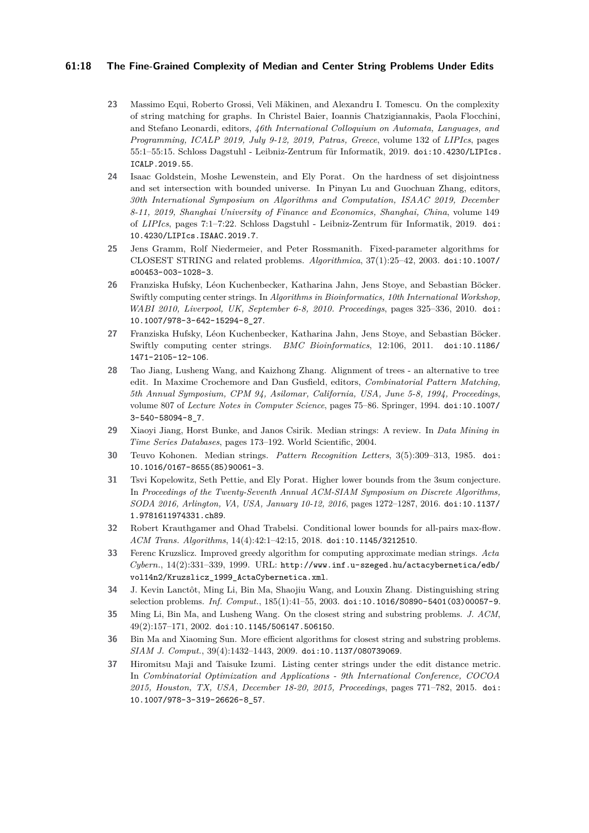## **61:18 The Fine-Grained Complexity of Median and Center String Problems Under Edits**

- <span id="page-17-5"></span>**23** Massimo Equi, Roberto Grossi, Veli Mäkinen, and Alexandru I. Tomescu. On the complexity of string matching for graphs. In Christel Baier, Ioannis Chatzigiannakis, Paola Flocchini, and Stefano Leonardi, editors, *46th International Colloquium on Automata, Languages, and Programming, ICALP 2019, July 9-12, 2019, Patras, Greece*, volume 132 of *LIPIcs*, pages 55:1–55:15. Schloss Dagstuhl - Leibniz-Zentrum für Informatik, 2019. [doi:10.4230/LIPIcs.](https://doi.org/10.4230/LIPIcs.ICALP.2019.55) [ICALP.2019.55](https://doi.org/10.4230/LIPIcs.ICALP.2019.55).
- <span id="page-17-4"></span>**24** Isaac Goldstein, Moshe Lewenstein, and Ely Porat. On the hardness of set disjointness and set intersection with bounded universe. In Pinyan Lu and Guochuan Zhang, editors, *30th International Symposium on Algorithms and Computation, ISAAC 2019, December 8-11, 2019, Shanghai University of Finance and Economics, Shanghai, China*, volume 149 of *LIPIcs*, pages 7:1–7:22. Schloss Dagstuhl - Leibniz-Zentrum für Informatik, 2019. [doi:](https://doi.org/10.4230/LIPIcs.ISAAC.2019.7) [10.4230/LIPIcs.ISAAC.2019.7](https://doi.org/10.4230/LIPIcs.ISAAC.2019.7).
- <span id="page-17-8"></span>**25** Jens Gramm, Rolf Niedermeier, and Peter Rossmanith. Fixed-parameter algorithms for CLOSEST STRING and related problems. *Algorithmica*, 37(1):25–42, 2003. [doi:10.1007/](https://doi.org/10.1007/s00453-003-1028-3) [s00453-003-1028-3](https://doi.org/10.1007/s00453-003-1028-3).
- <span id="page-17-13"></span>**26** Franziska Hufsky, Léon Kuchenbecker, Katharina Jahn, Jens Stoye, and Sebastian Böcker. Swiftly computing center strings. In *Algorithms in Bioinformatics, 10th International Workshop, WABI 2010, Liverpool, UK, September 6-8, 2010. Proceedings*, pages 325–336, 2010. [doi:](https://doi.org/10.1007/978-3-642-15294-8_27) [10.1007/978-3-642-15294-8\\_27](https://doi.org/10.1007/978-3-642-15294-8_27).
- <span id="page-17-9"></span>**27** Franziska Hufsky, Léon Kuchenbecker, Katharina Jahn, Jens Stoye, and Sebastian Böcker. Swiftly computing center strings. *BMC Bioinformatics*, 12:106, 2011. [doi:10.1186/](https://doi.org/10.1186/1471-2105-12-106) [1471-2105-12-106](https://doi.org/10.1186/1471-2105-12-106).
- <span id="page-17-3"></span>**28** Tao Jiang, Lusheng Wang, and Kaizhong Zhang. Alignment of trees - an alternative to tree edit. In Maxime Crochemore and Dan Gusfield, editors, *Combinatorial Pattern Matching, 5th Annual Symposium, CPM 94, Asilomar, California, USA, June 5-8, 1994, Proceedings*, volume 807 of *Lecture Notes in Computer Science*, pages 75–86. Springer, 1994. [doi:10.1007/](https://doi.org/10.1007/3-540-58094-8_7) [3-540-58094-8\\_7](https://doi.org/10.1007/3-540-58094-8_7).
- <span id="page-17-0"></span>**29** Xiaoyi Jiang, Horst Bunke, and Janos Csirik. Median strings: A review. In *Data Mining in Time Series Databases*, pages 173–192. World Scientific, 2004.
- <span id="page-17-1"></span>**30** Teuvo Kohonen. Median strings. *Pattern Recognition Letters*, 3(5):309–313, 1985. [doi:](https://doi.org/10.1016/0167-8655(85)90061-3) [10.1016/0167-8655\(85\)90061-3](https://doi.org/10.1016/0167-8655(85)90061-3).
- <span id="page-17-6"></span>**31** Tsvi Kopelowitz, Seth Pettie, and Ely Porat. Higher lower bounds from the 3sum conjecture. In *Proceedings of the Twenty-Seventh Annual ACM-SIAM Symposium on Discrete Algorithms, SODA 2016, Arlington, VA, USA, January 10-12, 2016*, pages 1272–1287, 2016. [doi:10.1137/](https://doi.org/10.1137/1.9781611974331.ch89) [1.9781611974331.ch89](https://doi.org/10.1137/1.9781611974331.ch89).
- <span id="page-17-7"></span>**32** Robert Krauthgamer and Ohad Trabelsi. Conditional lower bounds for all-pairs max-flow. *ACM Trans. Algorithms*, 14(4):42:1–42:15, 2018. [doi:10.1145/3212510](https://doi.org/10.1145/3212510).
- <span id="page-17-2"></span>**33** Ferenc Kruzslicz. Improved greedy algorithm for computing approximate median strings. *Acta Cybern.*, 14(2):331–339, 1999. URL: [http://www.inf.u-szeged.hu/actacybernetica/edb/](http://www.inf.u-szeged.hu/actacybernetica/edb/vol14n2/Kruzslicz_1999_ActaCybernetica.xml) [vol14n2/Kruzslicz\\_1999\\_ActaCybernetica.xml](http://www.inf.u-szeged.hu/actacybernetica/edb/vol14n2/Kruzslicz_1999_ActaCybernetica.xml).
- <span id="page-17-12"></span>**34** J. Kevin Lanctôt, Ming Li, Bin Ma, Shaojiu Wang, and Louxin Zhang. Distinguishing string selection problems. *Inf. Comput.*, 185(1):41–55, 2003. [doi:10.1016/S0890-5401\(03\)00057-9](https://doi.org/10.1016/S0890-5401(03)00057-9).
- <span id="page-17-10"></span>**35** Ming Li, Bin Ma, and Lusheng Wang. On the closest string and substring problems. *J. ACM*, 49(2):157–171, 2002. [doi:10.1145/506147.506150](https://doi.org/10.1145/506147.506150).
- <span id="page-17-11"></span>**36** Bin Ma and Xiaoming Sun. More efficient algorithms for closest string and substring problems. *SIAM J. Comput.*, 39(4):1432–1443, 2009. [doi:10.1137/080739069](https://doi.org/10.1137/080739069).
- <span id="page-17-14"></span>**37** Hiromitsu Maji and Taisuke Izumi. Listing center strings under the edit distance metric. In *Combinatorial Optimization and Applications - 9th International Conference, COCOA 2015, Houston, TX, USA, December 18-20, 2015, Proceedings*, pages 771–782, 2015. [doi:](https://doi.org/10.1007/978-3-319-26626-8_57) [10.1007/978-3-319-26626-8\\_57](https://doi.org/10.1007/978-3-319-26626-8_57).